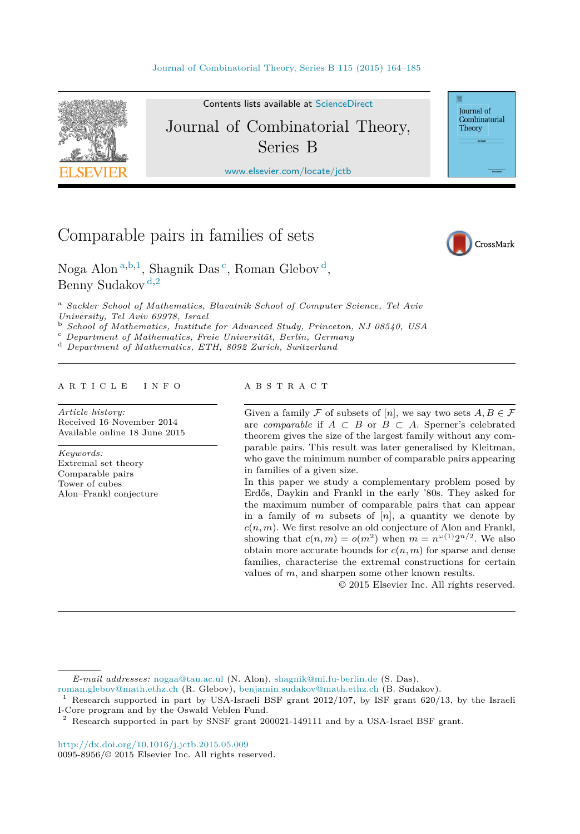

Contents lists available at [ScienceDirect](http://www.ScienceDirect.com/)

# Journal of Combinatorial Theory, Series B

[www.elsevier.com/locate/jctb](http://www.elsevier.com/locate/jctb)

Comparable pairs in families of sets



Journal of Combinatorial Theory

Noga Alon <sup>a,b,1</sup>, Shagnik Das<sup>c</sup>, Roman Glebov<sup>d</sup>, Benny Sudakov <sup>d</sup>*,*<sup>2</sup>

<sup>a</sup> *Sackler School of Mathematics, Blavatnik School of Computer Science, Tel Aviv*

<sup>b</sup> School of Mathematics, Institute for Advanced Study, Princeton, NJ 08540, USA<br>
<sup>c</sup> Department of Mathematics, Freie Universität, Berlin, Germany<br>
<sup>d</sup> Department of Mathematics, ETH, 8092 Zurich, Switzerland

#### A R T I C L E I N F O A B S T R A C T

*Article history:* Received 16 November 2014 Available online 18 June 2015

*Keywords:* Extremal set theory Comparable pairs Tower of cubes Alon–Frankl conjecture

Given a family F of subsets of [n], we say two sets  $A, B \in \mathcal{F}$ are *comparable* if  $A \subseteq B$  or  $B \subseteq A$ . Sperner's celebrated theorem gives the size of the largest family without any comparable pairs. This result was later generalised by Kleitman, who gave the minimum number of comparable pairs appearing in families of a given size.

In this paper we study a complementary problem posed by Erdős, Daykin and Frankl in the early '80s. They asked for the maximum number of comparable pairs that can appear in a family of *m* subsets of [*n*], a quantity we denote by  $c(n, m)$ . We first resolve an old conjecture of Alon and Frankl, showing that  $c(n, m) = o(m^2)$  when  $m = n^{\omega(1)}2^{n/2}$ . We also obtain more accurate bounds for  $c(n, m)$  for sparse and dense families, characterise the extremal constructions for certain values of *m*, and sharpen some other known results.

© 2015 Elsevier Inc. All rights reserved.

*E-mail addresses:* [nogaa@tau.ac.ul](mailto:nogaa@tau.ac.ul) (N. Alon), [shagnik@mi.fu-berlin.de](mailto:shagnik@mi.fu-berlin.de) (S. Das),

[roman.glebov@math.ethz.ch](mailto:roman.glebov@math.ethz.ch) (R. Glebov), [benjamin.sudakov@math.ethz.ch](mailto:benjamin.sudakov@math.ethz.ch) (B. Sudakov).

<sup>1</sup> Research supported in part by USA-Israeli BSF grant 2012/107, by ISF grant 620/13, by the Israeli I-Core program and by the Oswald Veblen Fund.

 $2^2$  Research supported in part by SNSF grant 200021-149111 and by a USA-Israel BSF grant.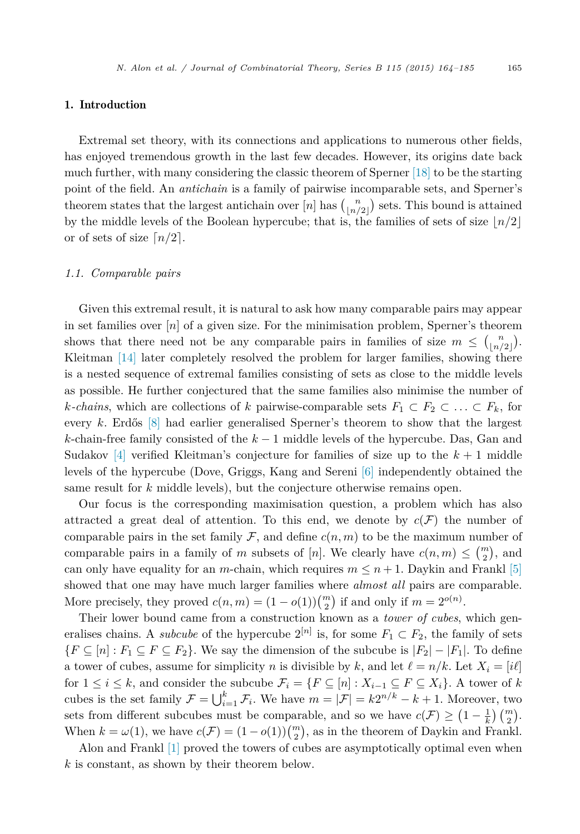# 1. Introduction

Extremal set theory, with its connections and applications to numerous other fields, has enjoyed tremendous growth in the last few decades. However, its origins date back much further, with many considering the classic theorem of Sperner [\[18\]](#page-21-0) to be the starting point of the field. An *antichain* is a family of pairwise incomparable sets, and Sperner's theorem states that the largest antichain over  $[n]$  has  $\binom{n}{n}$  $\binom{n}{\lfloor n/2 \rfloor}$  sets. This bound is attained by the middle levels of the Boolean hypercube; that is, the families of sets of size  $\lfloor n/2 \rfloor$ or of sets of size  $\lceil n/2 \rceil$ .

# *1.1. Comparable pairs*

Given this extremal result, it is natural to ask how many comparable pairs may appear in set families over [*n*] of a given size. For the minimisation problem, Sperner's theorem shows that there need not be any comparable pairs in families of size  $m \leq {n \choose \lfloor n/2 \rfloor}$  $\binom{n}{\lfloor n/2 \rfloor}$ . Kleitman [\[14\]](#page-21-0) later completely resolved the problem for larger families, showing there is a nested sequence of extremal families consisting of sets as close to the middle levels as possible. He further conjectured that the same families also minimise the number of *k*-chains, which are collections of *k* pairwise-comparable sets  $F_1 \subset F_2 \subset \ldots \subset F_k$ , for every *k*. Erdős [\[8\]](#page-21-0) had earlier generalised Sperner's theorem to show that the largest *k*-chain-free family consisted of the *k* − 1 middle levels of the hypercube. Das, Gan and Sudakov  $[4]$  verified Kleitman's conjecture for families of size up to the  $k+1$  middle levels of the hypercube (Dove, Griggs, Kang and Sereni [\[6\]](#page-21-0) independently obtained the same result for *k* middle levels), but the conjecture otherwise remains open.

Our focus is the corresponding maximisation question, a problem which has also attracted a great deal of attention. To this end, we denote by  $c(F)$  the number of comparable pairs in the set family  $\mathcal{F}$ , and define  $c(n, m)$  to be the maximum number of comparable pairs in a family of *m* subsets of [*n*]. We clearly have  $c(n,m) \leq {m \choose 2}$ , and can only have equality for an *m*-chain, which requires  $m \leq n+1$ . Daykin and Frankl [\[5\]](#page-21-0) showed that one may have much larger families where *almost all* pairs are comparable. More precisely, they proved  $c(n, m) = (1 - o(1))\binom{m}{2}$  if and only if  $m = 2^{o(n)}$ .

Their lower bound came from a construction known as a *tower of cubes*, which generalises chains. A *subcube* of the hypercube  $2^{[n]}$  is, for some  $F_1 \subset F_2$ , the family of sets  ${F \subseteq [n]: F_1 ⊆ F ⊆ F_2}.$  We say the dimension of the subcube is  $|F_2| - |F_1|$ . To define a tower of cubes, assume for simplicity *n* is divisible by *k*, and let  $\ell = n/k$ . Let  $X_i = [i\ell]$ for  $1 \leq i \leq k$ , and consider the subcube  $\mathcal{F}_i = \{F \subseteq [n] : X_{i-1} \subseteq F \subseteq X_i\}$ . A tower of *k* cubes is the set family  $\mathcal{F} = \bigcup_{i=1}^k \mathcal{F}_i$ . We have  $m = |\mathcal{F}| = k2^{n/k} - k + 1$ . Moreover, two sets from different subcubes must be comparable, and so we have  $c(\mathcal{F}) \geq \left(1 - \frac{1}{k}\right) \binom{m}{2}$ . When  $k = \omega(1)$ , we have  $c(\mathcal{F}) = (1 - o(1))\binom{m}{2}$ , as in the theorem of Daykin and Frankl.

Alon and Frankl [\[1\]](#page-21-0) proved the towers of cubes are asymptotically optimal even when *k* is constant, as shown by their theorem below.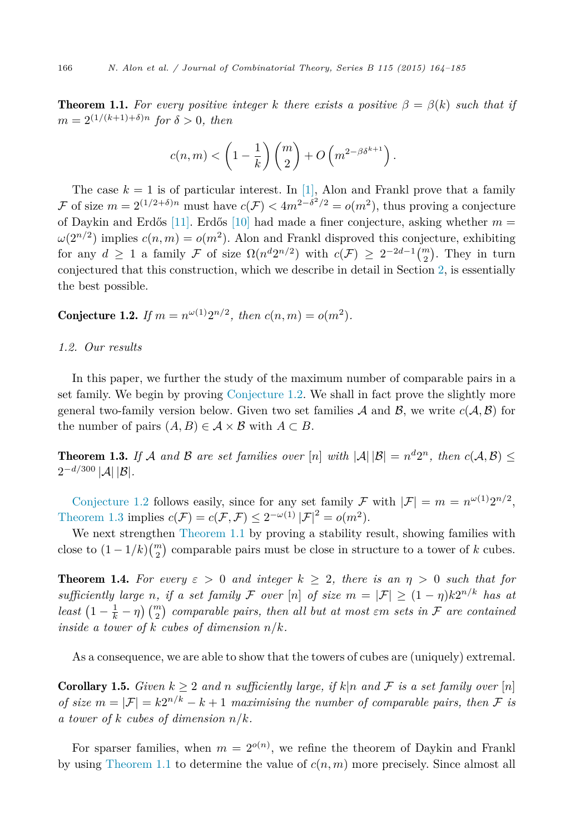<span id="page-2-0"></span>**Theorem 1.1.** For every positive integer k there exists a positive  $\beta = \beta(k)$  such that if  $m = 2^{(1/(k+1)+\delta)n}$  *for*  $\delta > 0$ *, then* 

$$
c(n,m) < \left(1 - \frac{1}{k}\right) {m \choose 2} + O\left(m^{2 - \beta \delta^{k+1}}\right).
$$

The case  $k = 1$  is of particular interest. In [\[1\],](#page-21-0) Alon and Frankl prove that a family F of size  $m = 2^{(1/2+\delta)n}$  must have  $c(\mathcal{F}) < 4m^{2-\delta^2/2} = o(m^2)$ , thus proving a conjecture of Daykin and Erdős [\[11\].](#page-21-0) Erdős [\[10\]](#page-21-0) had made a finer conjecture, asking whether  $m =$  $\omega(2^{n/2})$  implies  $c(n,m) = o(m^2)$ . Alon and Frankl disproved this conjecture, exhibiting for any  $d \geq 1$  a family  $\mathcal F$  of size  $\Omega(n^d 2^{n/2})$  with  $c(\mathcal F) \geq 2^{-2d-1} {m \choose 2}$ . They in turn conjectured that this construction, which we describe in detail in Section [2,](#page-4-0) is essentially the best possible.

**Conjecture 1.2.** *If*  $m = n^{\omega(1)}2^{n/2}$ , *then*  $c(n, m) = o(m^2)$ *.* 

# *1.2. Our results*

In this paper, we further the study of the maximum number of comparable pairs in a set family. We begin by proving Conjecture 1.2. We shall in fact prove the slightly more general two-family version below. Given two set families A and B, we write  $c(\mathcal{A}, \mathcal{B})$  for the number of pairs  $(A, B) \in \mathcal{A} \times \mathcal{B}$  with  $A \subset B$ .

**Theorem 1.3.** If A and B are set families over  $[n]$  with  $|\mathcal{A}| |\mathcal{B}| = n^d 2^n$ , then  $c(\mathcal{A}, \mathcal{B})$  <  $2^{-d/300} |\mathcal{A}| |\mathcal{B}|$ .

Conjecture 1.2 follows easily, since for any set family  $\mathcal F$  with  $|\mathcal F|=m=n^{\omega(1)}2^{n/2}$ , Theorem 1.3 implies  $c(\mathcal{F}) = c(\mathcal{F}, \mathcal{F}) \leq 2^{-\omega(1)} |\mathcal{F}|^2 = o(m^2)$ .

We next strengthen Theorem 1.1 by proving a stability result, showing families with close to  $(1 - 1/k) {m \choose 2}$  comparable pairs must be close in structure to a tower of *k* cubes.

**Theorem 1.4.** For every  $\varepsilon > 0$  and integer  $k \geq 2$ , there is an  $\eta > 0$  such that for *sufficiently large n*, *if a set family* F *over* [*n*] *of size*  $m = |\mathcal{F}| \geq (1 - \eta)k2^{n/k}$  *has at*  $least\left(1-\frac{1}{k}-\eta\right)\binom{m}{2}$  *comparable pairs, then all but at most*  $\varepsilon$ *m sets in*  $\mathcal F$  *are contained inside a tower of k cubes of dimension n/k.*

As a consequence, we are able to show that the towers of cubes are (uniquely) extremal.

**Corollary 1.5.** Given  $k \geq 2$  and *n* sufficiently large, if  $k|n$  and F is a set family over [n] *of size*  $m = |\mathcal{F}| = k2^{n/k} - k + 1$  *maximising* the *number of comparable pairs, then*  $\mathcal{F}$  *is a tower of k cubes of dimension n/k.*

For sparser families, when  $m = 2^{o(n)}$ , we refine the theorem of Daykin and Frankl by using Theorem 1.1 to determine the value of  $c(n, m)$  more precisely. Since almost all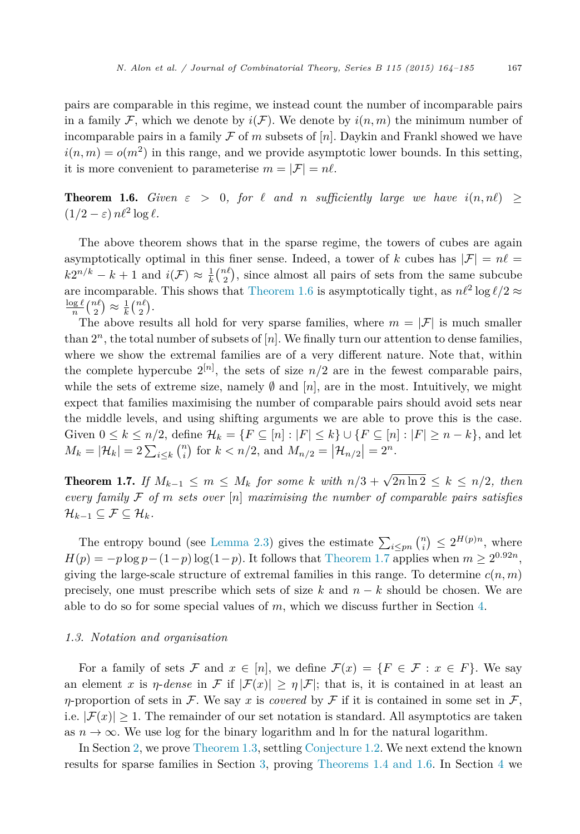<span id="page-3-0"></span>pairs are comparable in this regime, we instead count the number of incomparable pairs in a family F, which we denote by  $i(F)$ . We denote by  $i(n, m)$  the minimum number of incomparable pairs in a family  $\mathcal F$  of  $m$  subsets of  $[n]$ . Daykin and Frankl showed we have  $i(n,m) = o(m^2)$  in this range, and we provide asymptotic lower bounds. In this setting, it is more convenient to parameterise  $m = |\mathcal{F}| = n\ell$ .

**Theorem 1.6.** *Given*  $\varepsilon > 0$ , *for*  $\ell$  *and n sufficiently large we have*  $i(n, n\ell) \ge$  $(1/2 - \varepsilon) n\ell^2 \log \ell.$ 

The above theorem shows that in the sparse regime, the towers of cubes are again asymptotically optimal in this finer sense. Indeed, a tower of *k* cubes has  $|\mathcal{F}| = n\ell =$  $k2^{n/k} - k + 1$  and  $i(F) \approx \frac{1}{k} {n \choose 2}$ , since almost all pairs of sets from the same subcube are incomparable. This shows that Theorem 1.6 is asymptotically tight, as  $n\ell^2 \log \ell/2 \approx \log \ell/n\ell_1 \sim 1/n\ell_1$  $\frac{\log \ell}{n} {n \ell \choose 2} \approx \frac{1}{k} {n \ell \choose 2}.$ 

The above results all hold for very sparse families, where  $m = |\mathcal{F}|$  is much smaller than  $2^n$ , the total number of subsets of  $[n]$ . We finally turn our attention to dense families, where we show the extremal families are of a very different nature. Note that, within the complete hypercube  $2^{[n]}$ , the sets of size  $n/2$  are in the fewest comparable pairs, while the sets of extreme size, namely  $\emptyset$  and  $[n]$ , are in the most. Intuitively, we might expect that families maximising the number of comparable pairs should avoid sets near the middle levels, and using shifting arguments we are able to prove this is the case. Given  $0 \leq k \leq n/2$ , define  $\mathcal{H}_k = \{F \subseteq [n] : |F| \leq k\} \cup \{F \subseteq [n] : |F| \geq n - k\}$ , and let  $M_k = |\mathcal{H}_k| = 2 \sum_{i \le k} {n \choose i}$  for  $k < n/2$ , and  $M_{n/2} = |\mathcal{H}_{n/2}| = 2^n$ .

Theorem 1.7. *If*  $M_{k-1} \leq m \leq M_k$  *for some k with*  $n/3 + \sqrt{2n \ln 2} \leq k \leq n/2$ *, then every family* F *of m sets over* [*n*] *maximising the number of comparable pairs satisfies*  $\mathcal{H}_{k-1} \subseteq \mathcal{F} \subseteq \mathcal{H}_k$ *.* 

The entropy bound (see [Lemma 2.3\)](#page-6-0) gives the estimate  $\sum_{i \leq pn} {n \choose i} \leq 2^{H(p)n}$ , where  $H(p) = -p \log p - (1-p) \log(1-p)$ . It follows that Theorem 1.7 applies when  $m > 2^{0.92n}$ , giving the large-scale structure of extremal families in this range. To determine  $c(n, m)$ precisely, one must prescribe which sets of size *k* and *n* − *k* should be chosen. We are able to do so for some special values of *m*, which we discuss further in Section [4.](#page-15-0)

## *1.3. Notation and organisation*

For a family of sets F and  $x \in [n]$ , we define  $\mathcal{F}(x) = \{F \in \mathcal{F} : x \in F\}$ . We say an element *x* is *η*-*dense* in F if  $|\mathcal{F}(x)| \geq \eta |\mathcal{F}|$ ; that is, it is contained in at least an *η*-proportion of sets in F. We say x is *covered* by F if it is contained in some set in F, i.e.  $|\mathcal{F}(x)| \geq 1$ . The remainder of our set notation is standard. All asymptotics are taken as  $n \to \infty$ . We use log for the binary logarithm and ln for the natural logarithm.

In Section [2,](#page-4-0) we prove [Theorem 1.3,](#page-2-0) settling [Conjecture 1.2.](#page-2-0) We next extend the known results for sparse families in Section [3,](#page-8-0) proving [Theorems 1.4 and 1.6.](#page-2-0) In Section [4](#page-15-0) we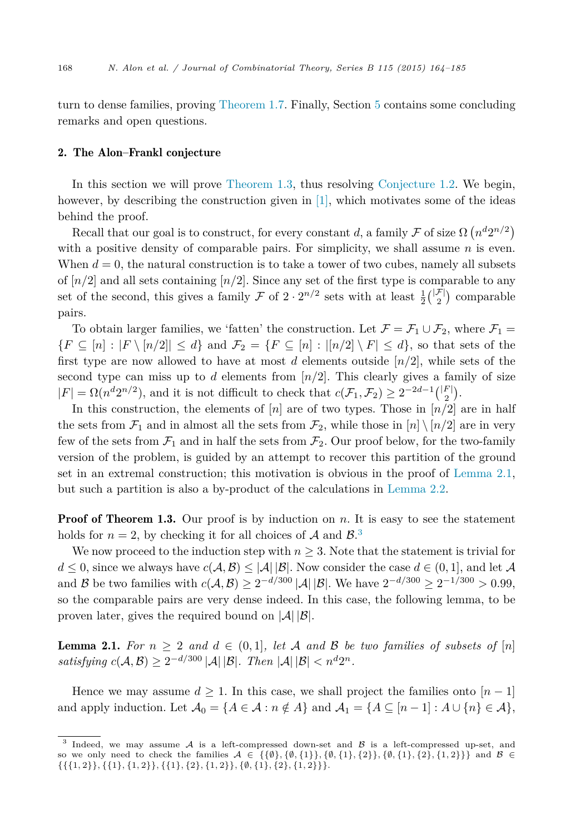<span id="page-4-0"></span>turn to dense families, proving [Theorem 1.7.](#page-3-0) Finally, Section [5](#page-19-0) contains some concluding remarks and open questions.

# 2. The Alon–Frankl conjecture

In this section we will prove [Theorem 1.3,](#page-2-0) thus resolving [Conjecture 1.2.](#page-2-0) We begin, however, by describing the construction given in [\[1\],](#page-21-0) which motivates some of the ideas behind the proof.

Recall that our goal is to construct, for every constant *d*, a family  $\mathcal F$  of size  $\Omega(n^d 2^{n/2})$ with a positive density of comparable pairs. For simplicity, we shall assume *n* is even. When  $d = 0$ , the natural construction is to take a tower of two cubes, namely all subsets of  $\lfloor n/2 \rfloor$  and all sets containing  $\lfloor n/2 \rfloor$ . Since any set of the first type is comparable to any set of the second, this gives a family  $\mathcal F$  of  $2 \cdot 2^{n/2}$  sets with at least  $\frac{1}{2} {\binom{|\mathcal F|}{2}}$  comparable pairs.

To obtain larger families, we 'fatten' the construction. Let  $\mathcal{F} = \mathcal{F}_1 \cup \mathcal{F}_2$ , where  $\mathcal{F}_1 =$  ${F \subseteq [n] : |F \setminus [n/2]| \leq d}$  and  $\mathcal{F}_2 = {F \subseteq [n] : |[n/2] \setminus F| \leq d}$ , so that sets of the first type are now allowed to have at most *d* elements outside  $\lfloor n/2 \rfloor$ , while sets of the second type can miss up to *d* elements from  $\lfloor n/2 \rfloor$ . This clearly gives a family of size  $|F| = \Omega(n^d 2^{n/2})$ , and it is not difficult to check that  $c(\mathcal{F}_1, \mathcal{F}_2) \geq 2^{-2d-1} {|\mathcal{F}| \choose 2}$ .

In this construction, the elements of  $[n]$  are of two types. Those in  $[n/2]$  are in half the sets from  $\mathcal{F}_1$  and in almost all the sets from  $\mathcal{F}_2$ , while those in  $[n] \setminus [n/2]$  are in very few of the sets from  $\mathcal{F}_1$  and in half the sets from  $\mathcal{F}_2$ . Our proof below, for the two-family version of the problem, is guided by an attempt to recover this partition of the ground set in an extremal construction; this motivation is obvious in the proof of Lemma 2.1, but such a partition is also a by-product of the calculations in [Lemma 2.2.](#page-5-0)

**Proof of Theorem 1.3.** Our proof is by induction on *n*. It is easy to see the statement holds for  $n = 2$ , by checking it for all choices of  $A$  and  $B$ .<sup>3</sup>

We now proceed to the induction step with  $n \geq 3$ . Note that the statement is trivial for  $d \leq 0$ , since we always have  $c(\mathcal{A}, \mathcal{B}) \leq |\mathcal{A}| |\mathcal{B}|$ . Now consider the case  $d \in (0, 1]$ , and let  $\mathcal{A}$ and B be two families with  $c(A, B) \ge 2^{-d/300} |\mathcal{A}| |\mathcal{B}|$ . We have  $2^{-d/300} \ge 2^{-1/300} > 0.99$ , so the comparable pairs are very dense indeed. In this case, the following lemma, to be proven later, gives the required bound on  $|\mathcal{A}| |\mathcal{B}|$ .

**Lemma 2.1.** For  $n \geq 2$  and  $d \in (0,1]$ , let A and B be two families of subsets of  $[n]$ *satisfying*  $c(A, B) \geq 2^{-d/300} |\mathcal{A}| |\mathcal{B}|$ *. Then*  $|\mathcal{A}| |\mathcal{B}| < n^d 2^n$ *.* 

Hence we may assume  $d \geq 1$ . In this case, we shall project the families onto  $[n-1]$ and apply induction. Let  $\mathcal{A}_0 = \{A \in \mathcal{A} : n \notin A\}$  and  $\mathcal{A}_1 = \{A \subseteq [n-1] : A \cup \{n\} \in \mathcal{A}\}$ ,

<sup>&</sup>lt;sup>3</sup> Indeed, we may assume  $A$  is a left-compressed down-set and  $B$  is a left-compressed up-set, and so we only need to check the families  $A \in \{\{\emptyset\}, \{\emptyset, \{1\}, \{\emptyset, \{1\}, \{2\}\}, \{\emptyset, \{1\}, \{2\}, \{1, 2\}\}\}\$  and  $B \in$ {{{1*,* 2}}*,* {{1}*,* {1*,* 2}}*,* {{1}*,* {2}*,* {1*,* 2}}*,* {∅*,* {1}*,* {2}*,* {1*,* 2}}}.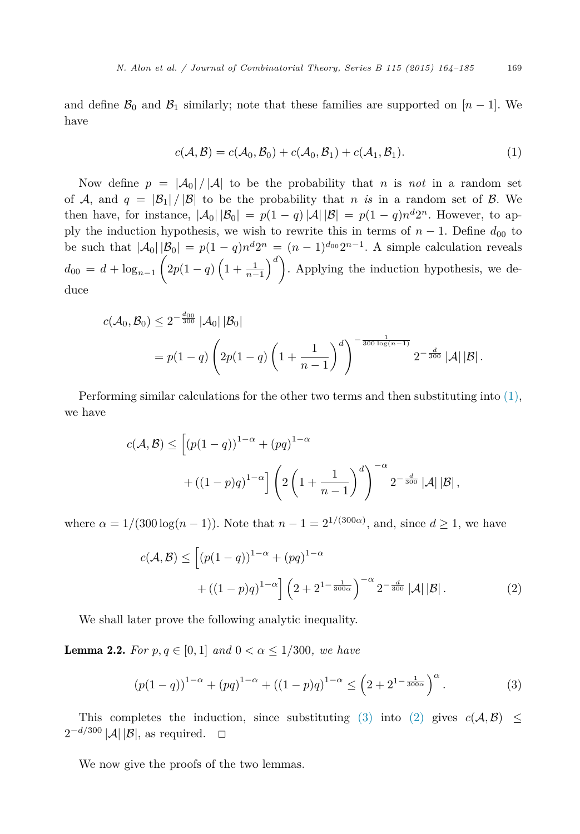<span id="page-5-0"></span>and define  $\mathcal{B}_0$  and  $\mathcal{B}_1$  similarly; note that these families are supported on  $[n-1]$ . We have

$$
c(\mathcal{A}, \mathcal{B}) = c(\mathcal{A}_0, \mathcal{B}_0) + c(\mathcal{A}_0, \mathcal{B}_1) + c(\mathcal{A}_1, \mathcal{B}_1).
$$
\n(1)

Now define  $p = |A_0|/|A|$  to be the probability that *n* is *not* in a random set of A, and  $q = |\mathcal{B}_1|/|\mathcal{B}|$  to be the probability that *n is* in a random set of B. We then have, for instance,  $|\mathcal{A}_0||\mathcal{B}_0| = p(1-q)|\mathcal{A}||\mathcal{B}| = p(1-q)n^d 2^n$ . However, to apply the induction hypothesis, we wish to rewrite this in terms of  $n-1$ . Define  $d_{00}$  to be such that  $|\mathcal{A}_0||\mathcal{B}_0| = p(1-q)n^d2^n = (n-1)^{d_{00}}2^{n-1}$ . A simple calculation reveals  $d_{00} = d + \log_{n-1} \left( 2p(1-q)\left(1+\frac{1}{n-1}\right)\right)$  $\binom{d}{k}$ . Applying the induction hypothesis, we deduce

$$
c(\mathcal{A}_0, \mathcal{B}_0) \le 2^{-\frac{d_{00}}{300}} |\mathcal{A}_0| |\mathcal{B}_0|
$$
  
=  $p(1-q) \left(2p(1-q)\left(1+\frac{1}{n-1}\right)^d\right)^{-\frac{1}{300 \log(n-1)}} 2^{-\frac{d}{300}} |\mathcal{A}| |\mathcal{B}|.$ 

Performing similar calculations for the other two terms and then substituting into (1), we have

$$
c(\mathcal{A}, \mathcal{B}) \le \left[ (p(1-q))^{1-\alpha} + (pq)^{1-\alpha} + ((1-p)q)^{1-\alpha} \right] \left( 2\left(1 + \frac{1}{n-1}\right)^d \right)^{-\alpha} 2^{-\frac{d}{300}} |\mathcal{A}| |\mathcal{B}|,
$$

where  $\alpha = 1/(300 \log(n-1))$ . Note that  $n-1 = 2^{1/(300\alpha)}$ , and, since  $d \ge 1$ , we have

$$
c(\mathcal{A}, \mathcal{B}) \le \left[ \left( p(1-q) \right)^{1-\alpha} + \left( pq \right)^{1-\alpha} + \left( (1-p)q \right)^{1-\alpha} \right] \left( 2 + 2^{1-\frac{1}{300\alpha}} \right)^{-\alpha} 2^{-\frac{d}{300}} |\mathcal{A}| |\mathcal{B}|.
$$
 (2)

We shall later prove the following analytic inequality.

**Lemma 2.2.** For  $p, q \in [0, 1]$  and  $0 < \alpha \leq 1/300$ , we have

$$
(p(1-q))^{1-\alpha} + (pq)^{1-\alpha} + ((1-p)q)^{1-\alpha} \le \left(2 + 2^{1-\frac{1}{300\alpha}}\right)^{\alpha}.
$$
 (3)

This completes the induction, since substituting (3) into (2) gives  $c(\mathcal{A}, \mathcal{B}) \leq$  $2^{-d/300}$  |A| |B|, as required.  $□$ 

We now give the proofs of the two lemmas.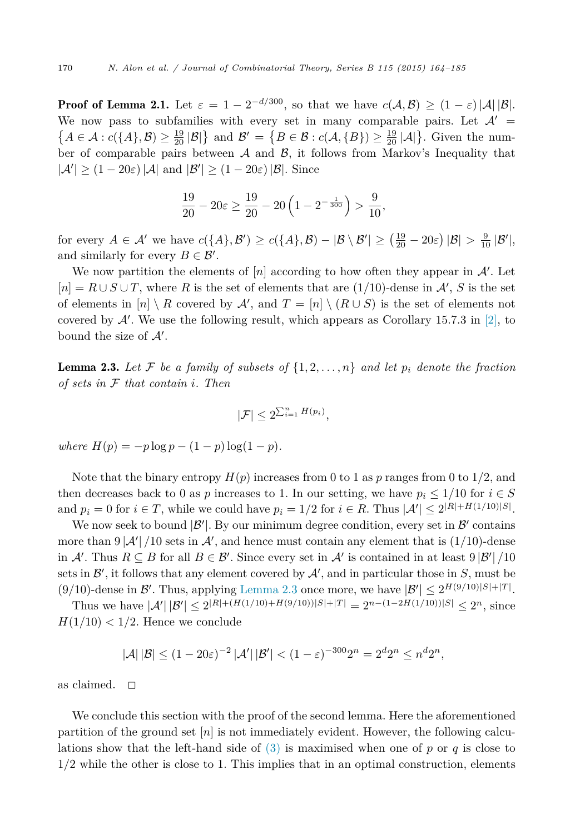<span id="page-6-0"></span>**Proof of Lemma 2.1.** Let  $\varepsilon = 1 - 2^{-d/300}$ , so that we have  $c(A, B) \ge (1 - \varepsilon)|A||B|$ .<br>We now pass to subfamilies with every set in many comparable pairs. Let  $A' =$ We now pass to subfamilies with every set in many comparable pairs. Let  $\mathcal{A}' = \{A \in \mathcal{A} : c(\{A\}, \mathcal{B}) \ge \frac{19}{20} |\mathcal{B}|\}$  and  $\mathcal{B}' = \{B \in \mathcal{B} : c(\mathcal{A}, \{B\}) \ge \frac{19}{20} |\mathcal{A}|\}.$  Given the number of comparable pairs between  $A$  and  $B$ , it follows from Markov's Inequality that  $|\mathcal{A}'| \ge (1 - 20\varepsilon) |\mathcal{A}|$  and  $|\mathcal{B}'| \ge (1 - 20\varepsilon) |\mathcal{B}|$ . Since

$$
\frac{19}{20} - 20\varepsilon \ge \frac{19}{20} - 20\left(1 - 2^{-\frac{1}{300}}\right) > \frac{9}{10},
$$

for every  $A \in \mathcal{A}'$  we have  $c(\{A\}, \mathcal{B}') \ge c(\{A\}, \mathcal{B}) - |\mathcal{B} \setminus \mathcal{B}'| \ge \left(\frac{19}{20} - 20\epsilon\right)|\mathcal{B}| > \frac{9}{10}|\mathcal{B}'|$ , and similarly for every  $B \in \mathcal{B}'$ .

We now partition the elements of  $[n]$  according to how often they appear in  $\mathcal{A}'$ . Let  $[n] = R \cup S \cup T$ , where R is the set of elements that are  $(1/10)$ -dense in  $\mathcal{A}'$ , S is the set of elements in  $[n] \setminus R$  covered by  $\mathcal{A}'$ , and  $T = [n] \setminus (R \cup S)$  is the set of elements not covered by  $\mathcal{A}'$ . We use the following result, which appears as Corollary 15.7.3 in [\[2\],](#page-21-0) to bound the size of  $A'$ .

**Lemma 2.3.** Let F be a family of subsets of  $\{1, 2, \ldots, n\}$  and let  $p_i$  denote the fraction *of sets in* F *that contain i. Then*

$$
|\mathcal{F}| \leq 2^{\sum_{i=1}^{n} H(p_i)},
$$

 $where H(p) = -p \log p - (1 - p) \log(1 - p).$ 

Note that the binary entropy  $H(p)$  increases from 0 to 1 as p ranges from 0 to 1/2, and then decreases back to 0 as *p* increases to 1. In our setting, we have  $p_i \leq 1/10$  for  $i \in S$ and  $p_i = 0$  for  $i \in T$ , while we could have  $p_i = 1/2$  for  $i \in R$ . Thus  $|\mathcal{A}'| \leq 2^{|R| + H(1/10)|S|}$ .

We now seek to bound  $|\mathcal{B}'|$ . By our minimum degree condition, every set in  $\mathcal{B}'$  contains more than  $9 |\mathcal{A}'| / 10$  sets in  $\mathcal{A}'$ , and hence must contain any element that is  $(1/10)$ -dense in A'. Thus  $R \subseteq B$  for all  $B \in \mathcal{B}'$ . Since every set in A' is contained in at least  $9 |\mathcal{B}'| / 10$ sets in  $\mathcal{B}'$ , it follows that any element covered by  $\mathcal{A}'$ , and in particular those in  $S$ , must be  $(9/10)$ -dense in B'. Thus, applying Lemma 2.3 once more, we have  $|\mathcal{B}'| \leq 2^{H(9/10)|S|+|T|}$ .

Thus we have  $|\mathcal{A}'| |\mathcal{B}'| \leq 2^{|R| + (H(1/10) + H(9/10))|S| + |T|} = 2^{n - (1 - 2H(1/10))|S|} \leq 2^n$ , since  $H(1/10) < 1/2$ . Hence we conclude

$$
|\mathcal{A}| |\mathcal{B}| \le (1 - 20\varepsilon)^{-2} |\mathcal{A}'| |\mathcal{B}'| < (1 - \varepsilon)^{-300} 2^n = 2^d 2^n \le n^d 2^n,
$$

as claimed.  $\square$ 

We conclude this section with the proof of the second lemma. Here the aforementioned partition of the ground set  $[n]$  is not immediately evident. However, the following calculations show that the left-hand side of  $(3)$  is maximised when one of p or q is close to 1*/*2 while the other is close to 1. This implies that in an optimal construction, elements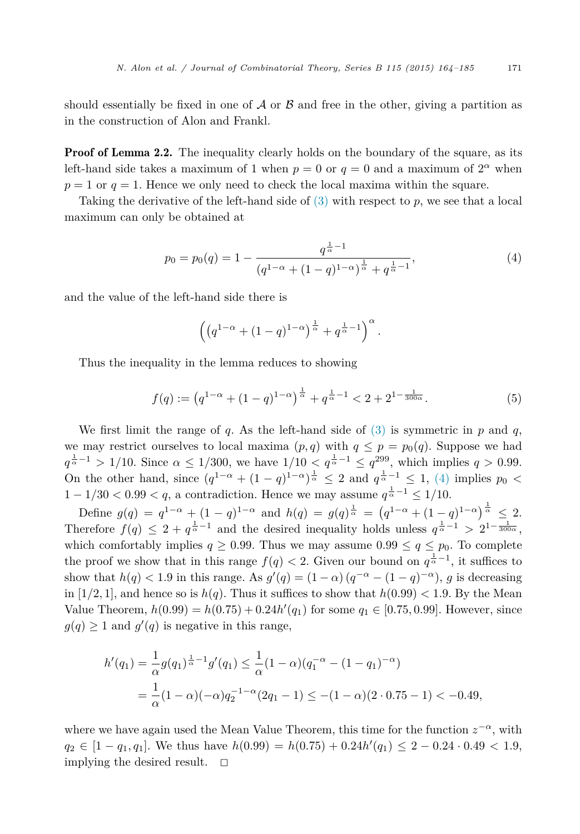should essentially be fixed in one of  $\mathcal A$  or  $\mathcal B$  and free in the other, giving a partition as in the construction of Alon and Frankl.

**Proof of Lemma 2.2.** The inequality clearly holds on the boundary of the square, as its left-hand side takes a maximum of 1 when  $p = 0$  or  $q = 0$  and a maximum of  $2^{\alpha}$  when  $p = 1$  or  $q = 1$ . Hence we only need to check the local maxima within the square.

Taking the derivative of the left-hand side of [\(3\)](#page-5-0) with respect to *p*, we see that a local maximum can only be obtained at

$$
p_0 = p_0(q) = 1 - \frac{q^{\frac{1}{\alpha}-1}}{(q^{1-\alpha} + (1-q)^{1-\alpha})^{\frac{1}{\alpha}} + q^{\frac{1}{\alpha}-1}},
$$
\n(4)

and the value of the left-hand side there is

$$
\left( \left( q^{1-\alpha} + (1-q)^{1-\alpha} \right)^{\frac{1}{\alpha}} + q^{\frac{1}{\alpha}-1} \right)^{\alpha}.
$$

Thus the inequality in the lemma reduces to showing

$$
f(q) := \left( q^{1-\alpha} + (1-q)^{1-\alpha} \right)^{\frac{1}{\alpha}} + q^{\frac{1}{\alpha}-1} < 2 + 2^{1-\frac{1}{300\alpha}}. \tag{5}
$$

We first limit the range of  $q$ . As the left-hand side of  $(3)$  is symmetric in  $p$  and  $q$ , we may restrict ourselves to local maxima  $(p, q)$  with  $q \leq p = p_0(q)$ . Suppose we had  $q^{\frac{1}{\alpha}-1} > 1/10$ . Since  $\alpha \le 1/300$ , we have  $1/10 < q^{\frac{1}{\alpha}-1} \le q^{299}$ , which implies  $q > 0.99$ . On the other hand, since  $(q^{1-\alpha} + (1-q)^{1-\alpha})^{\frac{1}{\alpha}} \leq 2$  and  $q^{\frac{1}{\alpha}-1} \leq 1$ , (4) implies  $p_0$  <  $1 - 1/30 < 0.99 < q$ , a contradiction. Hence we may assume  $q^{\frac{1}{\alpha} - 1} \leq 1/10$ .

Define  $g(q) = q^{1-\alpha} + (1-q)^{1-\alpha}$  and  $h(q) = g(q)^{\frac{1}{\alpha}} = (q^{1-\alpha} + (1-q)^{1-\alpha})^{\frac{1}{\alpha}} \leq 2$ . Therefore  $f(q) \leq 2 + q^{\frac{1}{\alpha}-1}$  and the desired inequality holds unless  $q^{\frac{1}{\alpha}-1} > 2^{1-\frac{1}{300\alpha}}$ , which comfortably implies  $q \geq 0.99$ . Thus we may assume  $0.99 \leq q \leq p_0$ . To complete the proof we show that in this range  $f(q) < 2$ . Given our bound on  $q^{\frac{1}{\alpha}-1}$ , it suffices to show that  $h(q) < 1.9$  in this range. As  $g'(q) = (1 - \alpha) (q^{-\alpha} - (1 - q)^{-\alpha})$ , *g* is decreasing in [1/2, 1], and hence so is  $h(q)$ . Thus it suffices to show that  $h(0.99) < 1.9$ . By the Mean Value Theorem,  $h(0.99) = h(0.75) + 0.24h'(q_1)$  for some  $q_1 \in [0.75, 0.99]$ . However, since  $g(q) \geq 1$  and  $g'(q)$  is negative in this range,

$$
h'(q_1) = \frac{1}{\alpha} g(q_1)^{\frac{1}{\alpha}-1} g'(q_1) \le \frac{1}{\alpha} (1-\alpha)(q_1^{-\alpha} - (1-q_1)^{-\alpha})
$$
  
= 
$$
\frac{1}{\alpha} (1-\alpha)(-\alpha) q_2^{-1-\alpha} (2q_1 - 1) \le - (1-\alpha)(2 \cdot 0.75 - 1) < -0.49,
$$

where we have again used the Mean Value Theorem, this time for the function *z*−*<sup>α</sup>*, with *q*<sub>2</sub> ∈ [1 − *q*<sub>1</sub>*, q*<sub>1</sub>]. We thus have  $h(0.99) = h(0.75) + 0.24h'(q_1) ≤ 2 - 0.24 \cdot 0.49 < 1.9$ , implying the desired result.  $\Box$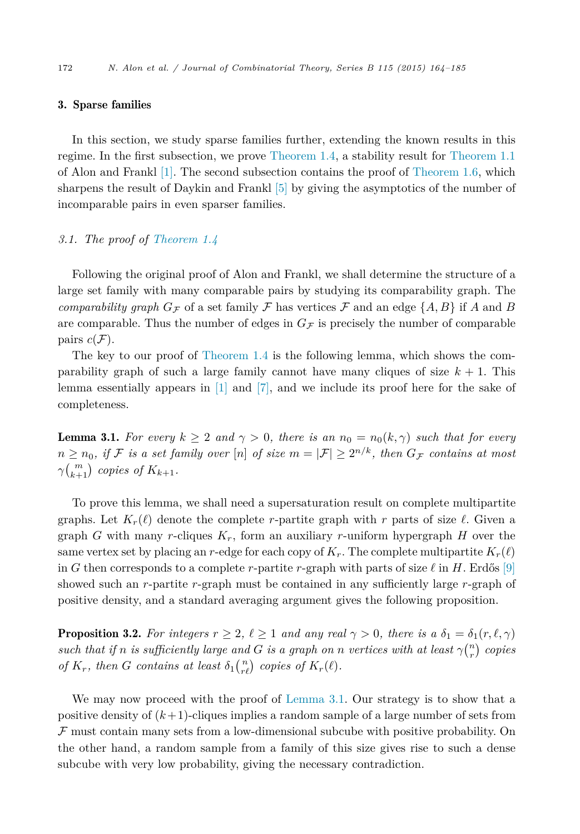# <span id="page-8-0"></span>3. Sparse families

In this section, we study sparse families further, extending the known results in this regime. In the first subsection, we prove [Theorem 1.4,](#page-2-0) a stability result for [Theorem 1.1](#page-2-0) of Alon and Frankl [\[1\].](#page-21-0) The second subsection contains the proof of [Theorem 1.6,](#page-3-0) which sharpens the result of Daykin and Frankl [\[5\]](#page-21-0) by giving the asymptotics of the number of incomparable pairs in even sparser families.

# *3.1. The proof of [Theorem 1.4](#page-2-0)*

Following the original proof of Alon and Frankl, we shall determine the structure of a large set family with many comparable pairs by studying its comparability graph. The *comparability graph*  $G_F$  of a set family F has vertices F and an edge  $\{A, B\}$  if A and B are comparable. Thus the number of edges in  $G_F$  is precisely the number of comparable pairs  $c(\mathcal{F})$ .

The key to our proof of [Theorem 1.4](#page-2-0) is the following lemma, which shows the comparability graph of such a large family cannot have many cliques of size  $k + 1$ . This lemma essentially appears in [\[1\]](#page-21-0) and [\[7\],](#page-21-0) and we include its proof here for the sake of completeness.

**Lemma 3.1.** For every  $k \geq 2$  and  $\gamma > 0$ , there is an  $n_0 = n_0(k, \gamma)$  such that for every  $n \geq n_0$ , if F is a set family over  $[n]$  of size  $m = |\mathcal{F}| \geq 2^{n/k}$ , then  $G_{\mathcal{F}}$  contains at most  $\gamma {m \choose k+1}$  *copies of*  $K_{k+1}$ *.* 

To prove this lemma, we shall need a supersaturation result on complete multipartite graphs. Let  $K_r(\ell)$  denote the complete *r*-partite graph with *r* parts of size  $\ell$ . Given a graph *G* with many *r*-cliques  $K_r$ , form an auxiliary *r*-uniform hypergraph *H* over the same vertex set by placing an *r*-edge for each copy of  $K_r$ . The complete multipartite  $K_r(\ell)$ in *G* then corresponds to a complete *r*-partite *r*-graph with parts of size  $\ell$  in *H*. Erdős [\[9\]](#page-21-0) showed such an *r*-partite *r*-graph must be contained in any sufficiently large *r*-graph of positive density, and a standard averaging argument gives the following proposition.

**Proposition 3.2.** For integers  $r \geq 2$ ,  $\ell \geq 1$  and any real  $\gamma > 0$ , there is a  $\delta_1 = \delta_1(r, \ell, \gamma)$ such that if n is sufficiently large and G is a graph on n vertices with at least  $\gamma\binom{n}{r}$  copies of  $K_r$ , then *G* contains at least  $\delta_1 {n \choose r \ell}$  copies of  $K_r(\ell)$ .

We may now proceed with the proof of Lemma 3.1. Our strategy is to show that a positive density of  $(k+1)$ -cliques implies a random sample of a large number of sets from  $\mathcal F$  must contain many sets from a low-dimensional subcube with positive probability. On the other hand, a random sample from a family of this size gives rise to such a dense subcube with very low probability, giving the necessary contradiction.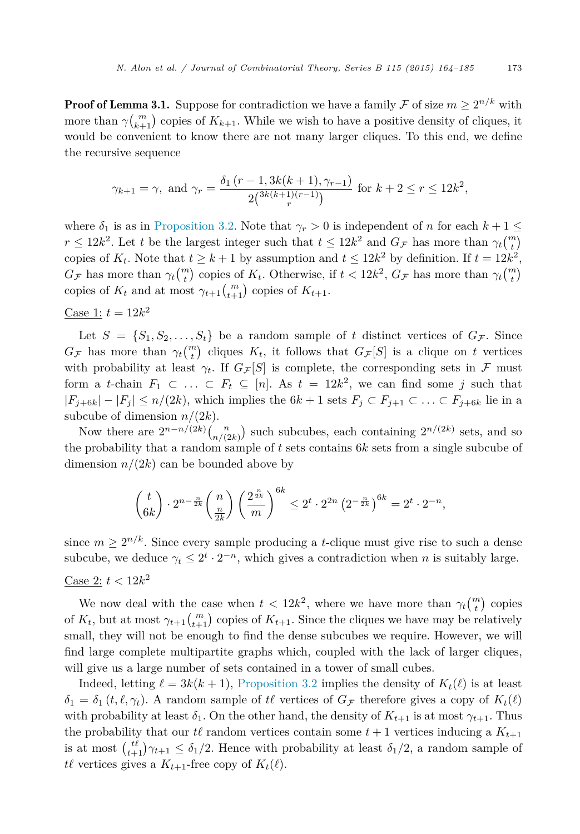**Proof of Lemma 3.1.** Suppose for contradiction we have a family  $\mathcal F$  of size  $m \geq 2^{n/k}$  with more than  $\gamma {m \choose k+1}$  copies of  $K_{k+1}$ . While we wish to have a positive density of cliques, it would be convenient to know there are not many larger cliques. To this end, we define the recursive sequence

$$
\gamma_{k+1} = \gamma
$$
, and  $\gamma_r = \frac{\delta_1 (r-1, 3k(k+1), \gamma_{r-1})}{2 \binom{3k(k+1)(r-1)}{r}}$  for  $k+2 \le r \le 12k^2$ ,

where  $\delta_1$  is as in [Proposition 3.2.](#page-8-0) Note that  $\gamma_r > 0$  is independent of *n* for each  $k + 1 \leq$  $r \leq 12k^2$ . Let *t* be the largest integer such that  $t \leq 12k^2$  and  $G_F$  has more than  $\gamma_t\binom{m}{t}$ copies of  $K_t$ . Note that  $t \geq k+1$  by assumption and  $t \leq 12k^2$  by definition. If  $t = 12k^2$ ,  $G_F$  has more than  $\gamma_t \binom{m}{t}$  copies of  $K_t$ . Otherwise, if  $t < 12k^2$ ,  $G_F$  has more than  $\gamma_t \binom{m}{t}$ copies of  $K_t$  and at most  $\gamma_{t+1} {m \choose t+1}$  copies of  $K_{t+1}$ .

$$
\underline{\text{Case 1:}} \ t = 12k^2
$$

Let  $S = \{S_1, S_2, \ldots, S_t\}$  be a random sample of *t* distinct vertices of  $G_F$ . Since  $G_F$  has more than  $\gamma_t\binom{m}{t}$  cliques  $K_t$ , it follows that  $G_F[S]$  is a clique on *t* vertices with probability at least  $\gamma_t$ . If  $G_F[S]$  is complete, the corresponding sets in F must form a *t*-chain  $F_1 \subset \ldots \subset F_t \subseteq [n]$ . As  $t = 12k^2$ , we can find some *j* such that  $|F_{j+6k}| - |F_j|$  ≤ *n*/(2*k*), which implies the 6*k* + 1 sets  $F_j$  ⊂  $F_{j+1}$  ⊂  $\ldots$  ⊂  $F_{j+6k}$  lie in a subcube of dimension *n/*(2*k*).

Now there are  $2^{n-n/(2k)} \binom{n}{n/(2k)}$  such subcubes, each containing  $2^{n/(2k)}$  sets, and so the probability that a random sample of *t* sets contains 6*k* sets from a single subcube of dimension  $n/(2k)$  can be bounded above by

$$
\binom{t}{6k} \cdot 2^{n-\frac{n}{2k}} \binom{n}{\frac{n}{2k}} \left(\frac{2^{\frac{n}{2k}}}{m}\right)^{6k} \leq 2^t \cdot 2^{2n} \left(2^{-\frac{n}{2k}}\right)^{6k} = 2^t \cdot 2^{-n},
$$

since  $m \geq 2^{n/k}$ . Since every sample producing a *t*-clique must give rise to such a dense subcube, we deduce  $\gamma_t \leq 2^t \cdot 2^{-n}$ , which gives a contradiction when *n* is suitably large. Case 2:  $t < 12k^2$ 

We now deal with the case when  $t < 12k^2$ , where we have more than  $\gamma_t\binom{m}{t}$  copies of  $K_t$ , but at most  $\gamma_{t+1} {m \choose t+1}$  copies of  $K_{t+1}$ . Since the cliques we have may be relatively small, they will not be enough to find the dense subcubes we require. However, we will find large complete multipartite graphs which, coupled with the lack of larger cliques, will give us a large number of sets contained in a tower of small cubes.

Indeed, letting  $\ell = 3k(k+1)$ , [Proposition 3.2](#page-8-0) implies the density of  $K_t(\ell)$  is at least  $\delta_1 = \delta_1(t, \ell, \gamma_t)$ . A random sample of  $t\ell$  vertices of  $G_F$  therefore gives a copy of  $K_t(\ell)$ with probability at least  $\delta_1$ . On the other hand, the density of  $K_{t+1}$  is at most  $\gamma_{t+1}$ . Thus the probability that our  $t\ell$  random vertices contain some  $t+1$  vertices inducing a  $K_{t+1}$ is at most  $\binom{t\ell}{t+1}\gamma_{t+1} \leq \delta_1/2$ . Hence with probability at least  $\delta_1/2$ , a random sample of *tl* vertices gives a  $K_{t+1}$ -free copy of  $K_t(\ell)$ .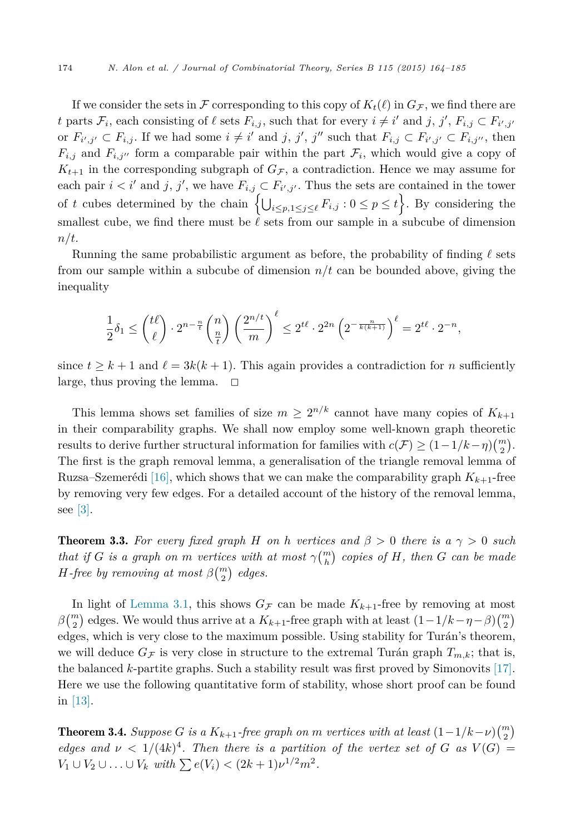<span id="page-10-0"></span>If we consider the sets in  $\mathcal F$  corresponding to this copy of  $K_t(\ell)$  in  $G_{\mathcal F}$ , we find there are *t* parts  $\mathcal{F}_i$ , each consisting of  $\ell$  sets  $F_{i,j}$ , such that for every  $i \neq i'$  and  $j, j', F_{i,j} \subset F_{i',j'}$ or  $F_{i',j'} \subset F_{i,j}$ . If we had some  $i \neq i'$  and  $j, j', j''$  such that  $F_{i,j} \subset F_{i',j'} \subset F_{i,j''}$ , then  $F_{i,j}$  and  $F_{i,j}$ <sup>"</sup> form a comparable pair within the part  $\mathcal{F}_i$ , which would give a copy of  $K_{t+1}$  in the corresponding subgraph of  $G_F$ , a contradiction. Hence we may assume for each pair  $i < i'$  and  $j, j'$ , we have  $F_{i,j} \subset F_{i',j'}$ . Thus the sets are contained in the tower of *t* cubes determined by the chain  $\left\{ \bigcup_{i \leq p, 1 \leq j \leq \ell} F_{i,j} : 0 \leq p \leq t \right\}$ . By considering the smallest cube, we find there must be  $\ell$  sets from our sample in a subcube of dimension *n/t*.

Running the same probabilistic argument as before, the probability of finding  $\ell$  sets from our sample within a subcube of dimension *n/t* can be bounded above, giving the inequality

$$
\frac{1}{2}\delta_1 \le \binom{t\ell}{\ell}\cdot 2^{n-\frac{n}{t}}\binom{n}{\frac{n}{t}}\left(\frac{2^{n/t}}{m}\right)^{\ell} \le 2^{t\ell}\cdot 2^{2n}\left(2^{-\frac{n}{k(k+1)}}\right)^{\ell} = 2^{t\ell}\cdot 2^{-n},
$$

since  $t \geq k+1$  and  $\ell = 3k(k+1)$ . This again provides a contradiction for *n* sufficiently large, thus proving the lemma.  $\square$ 

This lemma shows set families of size  $m \geq 2^{n/k}$  cannot have many copies of  $K_{k+1}$ in their comparability graphs. We shall now employ some well-known graph theoretic results to derive further structural information for families with  $c(\mathcal{F}) \geq (1 - 1/k - \eta) \binom{m}{2}$ . The first is the graph removal lemma, a generalisation of the triangle removal lemma of Ruzsa–Szemerédi [\[16\],](#page-21-0) which shows that we can make the comparability graph  $K_{k+1}$ -free by removing very few edges. For a detailed account of the history of the removal lemma, see [\[3\].](#page-21-0)

**Theorem 3.3.** For every fixed graph H on h vertices and  $\beta > 0$  there is a  $\gamma > 0$  such that if G is a graph on m vertices with at most  $\gamma_{h}^{(m)}$  copies of H, then G can be made *H*-free by removing at most  $\beta {m \choose 2}$  edges.

In light of [Lemma 3.1,](#page-8-0) this shows  $G_F$  can be made  $K_{k+1}$ -free by removing at most  $\beta\binom{m}{2}$  edges. We would thus arrive at a  $K_{k+1}$ -free graph with at least  $(1-1/k-\eta-\beta)\binom{m}{2}$ edges, which is very close to the maximum possible. Using stability for Turán's theorem, we will deduce  $G_F$  is very close in structure to the extremal Turán graph  $T_{m,k}$ ; that is, the balanced *k*-partite graphs. Such a stability result was first proved by Simonovits [\[17\].](#page-21-0) Here we use the following quantitative form of stability, whose short proof can be found in [\[13\].](#page-21-0)

**Theorem 3.4.** Suppose G is a  $K_{k+1}$ -free graph on  $m$  vertices with at least  $(1-1/k-\nu)\binom{m}{2}$ *edges* and  $\nu < 1/(4k)^4$ . Then there is a partition of the vertex set of G as  $V(G)$  =  $V_1 \cup V_2 \cup \ldots \cup V_k$  *with*  $\sum e(V_i) < (2k+1)\nu^{1/2}m^2$ .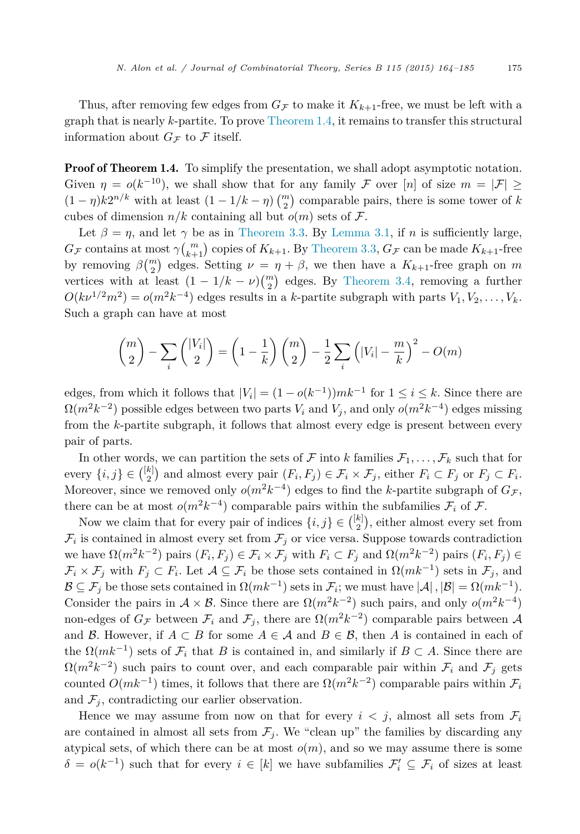Thus, after removing few edges from  $G_F$  to make it  $K_{k+1}$ -free, we must be left with a graph that is nearly *k*-partite. To prove [Theorem 1.4,](#page-2-0) it remains to transfer this structural information about  $G_{\mathcal{F}}$  to  $\mathcal F$  itself.

**Proof of Theorem 1.4.** To simplify the presentation, we shall adopt asymptotic notation. Given  $\eta = o(k^{-10})$ , we shall show that for any family F over [n] of size  $m = |\mathcal{F}| \ge$  $(1 - \eta)k2^{n/k}$  with at least  $(1 - 1/k - \eta)\binom{m}{2}$  comparable pairs, there is some tower of *k* cubes of dimension  $n/k$  containing all but  $o(m)$  sets of  $\mathcal{F}$ .

Let  $\beta = \eta$ , and let  $\gamma$  be as in [Theorem 3.3.](#page-10-0) By [Lemma 3.1,](#page-8-0) if *n* is sufficiently large,  $G_F$  contains at most  $\gamma {m \choose k+1}$  copies of  $K_{k+1}$ . By [Theorem 3.3,](#page-10-0)  $G_F$  can be made  $K_{k+1}$ -free by removing  $\beta {m \choose 2}$  edges. Setting  $\nu = \eta + \beta$ , we then have a  $K_{k+1}$ -free graph on  $m$ vertices with at least  $(1 - 1/k - \nu) \binom{m}{2}$  edges. By [Theorem 3.4,](#page-10-0) removing a further  $O(k\nu^{1/2}m^2) = o(m^2k^{-4})$  edges results in a *k*-partite subgraph with parts  $V_1, V_2, \ldots, V_k$ . Such a graph can have at most

$$
\binom{m}{2} - \sum_{i} \binom{|V_i|}{2} = \left(1 - \frac{1}{k}\right) \binom{m}{2} - \frac{1}{2} \sum_{i} \left(|V_i| - \frac{m}{k}\right)^2 - O(m)
$$

edges, from which it follows that  $|V_i| = (1 - o(k^{-1}))mk^{-1}$  for  $1 \le i \le k$ . Since there are  $\Omega(m^2k^{-2})$  possible edges between two parts  $V_i$  and  $V_j$ , and only  $o(m^2k^{-4})$  edges missing from the *k*-partite subgraph, it follows that almost every edge is present between every pair of parts.

In other words, we can partition the sets of  $\mathcal F$  into  $k$  families  $\mathcal F_1, \ldots, \mathcal F_k$  such that for every  $\{i, j\} \in \binom{[k]}{2}$  and almost every pair  $(F_i, F_j) \in \mathcal{F}_i \times \mathcal{F}_j$ , either  $F_i \subset F_j$  or  $F_j \subset F_i$ . Moreover, since we removed only  $o(m^2k^{-4})$  edges to find the *k*-partite subgraph of  $G_F$ , there can be at most  $o(m^2k^{-4})$  comparable pairs within the subfamilies  $\mathcal{F}_i$  of  $\mathcal{F}_i$ .

Now we claim that for every pair of indices  $\{i, j\} \in \binom{[k]}{2}$ , either almost every set from  $\mathcal{F}_i$  is contained in almost every set from  $\mathcal{F}_j$  or vice versa. Suppose towards contradiction we have  $\Omega(m^2k^{-2})$  pairs  $(F_i, F_j) \in \mathcal{F}_i \times \mathcal{F}_j$  with  $F_i \subset F_j$  and  $\Omega(m^2k^{-2})$  pairs  $(F_i, F_j) \in$  $\mathcal{F}_i \times \mathcal{F}_j$  with  $F_j \subset F_i$ . Let  $\mathcal{A} \subseteq \mathcal{F}_i$  be those sets contained in  $\Omega(mk^{-1})$  sets in  $\mathcal{F}_j$ , and  $\mathcal{B} \subseteq \mathcal{F}_j$  be those sets contained in  $\Omega(mk^{-1})$  sets in  $\mathcal{F}_i$ ; we must have  $|\mathcal{A}|, |\mathcal{B}| = \Omega(mk^{-1})$ . Consider the pairs in  $A \times B$ . Since there are  $\Omega(m^2 k^{-2})$  such pairs, and only  $o(m^2 k^{-4})$ non-edges of  $G_F$  between  $\mathcal{F}_i$  and  $\mathcal{F}_j$ , there are  $\Omega(m^2k^{-2})$  comparable pairs between A and B. However, if  $A \subset B$  for some  $A \in \mathcal{A}$  and  $B \in \mathcal{B}$ , then A is contained in each of the  $\Omega(mk^{-1})$  sets of  $\mathcal{F}_i$  that *B* is contained in, and similarly if  $B \subset A$ . Since there are  $\Omega(m^2k^{-2})$  such pairs to count over, and each comparable pair within  $\mathcal{F}_i$  and  $\mathcal{F}_j$  gets counted  $O(mk^{-1})$  times, it follows that there are  $\Omega(m^2k^{-2})$  comparable pairs within  $\mathcal{F}_i$ and  $\mathcal{F}_j$ , contradicting our earlier observation.

Hence we may assume from now on that for every  $i < j$ , almost all sets from  $\mathcal{F}_i$ are contained in almost all sets from  $\mathcal{F}_i$ . We "clean up" the families by discarding any atypical sets, of which there can be at most  $o(m)$ , and so we may assume there is some  $\delta = o(k^{-1})$  such that for every  $i \in [k]$  we have subfamilies  $\mathcal{F}'_i \subseteq \mathcal{F}_i$  of sizes at least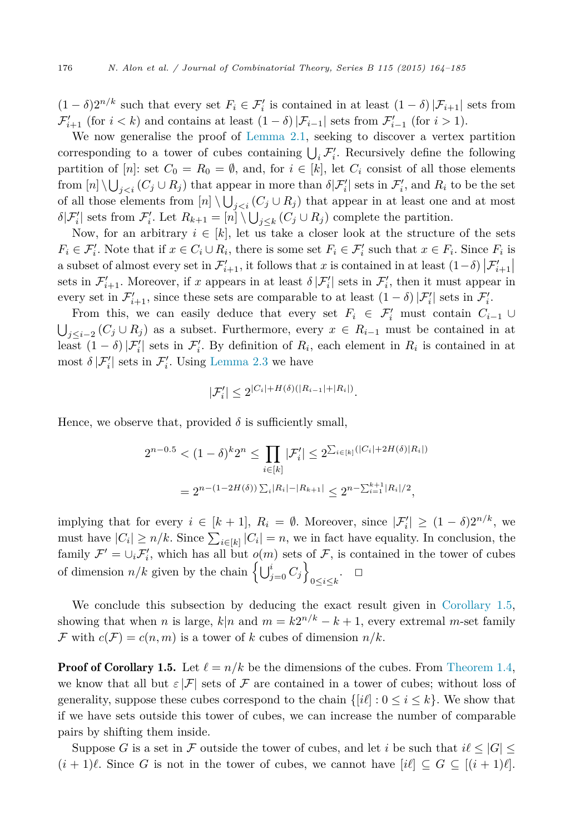$(1 - \delta)2^{n/k}$  such that every set  $F_i \in \mathcal{F}'_i$  is contained in at least  $(1 - \delta) |\mathcal{F}_{i+1}|$  sets from  $\mathcal{F}'_{i+1}$  (for  $i < k$ ) and contains at least  $(1 - \delta) |\mathcal{F}_{i-1}|$  sets from  $\mathcal{F}'_{i-1}$  (for  $i > 1$ ).

We now generalise the proof of [Lemma 2.1,](#page-4-0) seeking to discover a vertex partition corresponding to a tower of cubes containing  $\bigcup_i \mathcal{F}'_i$ . Recursively define the following partition of [*n*]: set  $C_0 = R_0 = \emptyset$ , and, for  $i \in [k]$ , let  $C_i$  consist of all those elements from  $[n] \setminus \bigcup_{j < i} (C_j \cup R_j)$  that appear in more than  $\delta |F'_i|$  sets in  $F'_i$ , and  $R_i$  to be the set of all those elements from  $[n] \setminus \bigcup_{j \leq i} (C_j \cup R_j)$  that appear in at least one and at most  $\delta|\mathcal{F}'_i|$  sets from  $\mathcal{F}'_i$ . Let  $R_{k+1} = [n] \setminus \bigcup_{j \leq k} (C_j \cup R_j)$  complete the partition.

Now, for an arbitrary  $i \in [k]$ , let us take a closer look at the structure of the sets  $F_i \in \mathcal{F}'_i$ . Note that if  $x \in C_i \cup R_i$ , there is some set  $F_i \in \mathcal{F}'_i$  such that  $x \in F_i$ . Since  $F_i$  is a subset of almost every set in  $\mathcal{F}'_{i+1}$ , it follows that *x* is contained in at least  $(1-\delta) |\mathcal{F}'_{i+1}|$ sets in  $\mathcal{F}'_{i+1}$ . Moreover, if *x* appears in at least  $\delta |\mathcal{F}'_i|$  sets in  $\mathcal{F}'_i$ , then it must appear in every set in  $\mathcal{F}'_{i+1}$ , since these sets are comparable to at least  $(1 - \delta) |\mathcal{F}'_i|$  sets in  $\mathcal{F}'_i$ .

From this, we can easily deduce that every set  $F_i \in \mathcal{F}'_i$  must contain  $C_{i-1} \cup$  $\bigcup_{j \leq i-2} (C_j \cup R_j)$  as a subset. Furthermore, every  $x \in R_{i-1}$  must be contained in at least  $(1 - \delta)|\mathcal{F}'_i|$  sets in  $\mathcal{F}'_i$ . By definition of  $R_i$ , each element in  $R_i$  is contained in at most  $\delta |\mathcal{F}'_i|$  sets in  $\mathcal{F}'_i$ . Using [Lemma 2.3](#page-6-0) we have

$$
|\mathcal{F}'_i| \le 2^{|C_i|+H(\delta)(|R_{i-1}|+|R_i|)}.
$$

Hence, we observe that, provided  $\delta$  is sufficiently small,

$$
2^{n-0.5} < (1-\delta)^k 2^n \le \prod_{i \in [k]} |\mathcal{F}'_i| \le 2^{\sum_{i \in [k]} (|C_i| + 2H(\delta)|R_i|)}
$$
\n
$$
= 2^{n - (1 - 2H(\delta)) \sum_i |R_i| - |R_{k+1}|} \le 2^{n - \sum_{i=1}^{k+1} |R_i|/2},
$$

implying that for every  $i \in [k+1]$ ,  $R_i = \emptyset$ . Moreover, since  $|\mathcal{F}'_i| \geq (1-\delta)2^{n/k}$ , we must have  $|C_i| \geq n/k$ . Since  $\sum_{i \in [k]} |C_i| = n$ , we in fact have equality. In conclusion, the family  $\mathcal{F}' = \cup_i \mathcal{F}'_i$ , which has all but  $o(m)$  sets of  $\mathcal{F}$ , is contained in the tower of cubes of dimension  $n/k$  given by the chain  $\left\{\bigcup_{j=0}^{i} C_j\right\}$ 0≤*i*≤*k*<sup> $\Box$ </sup>

We conclude this subsection by deducing the exact result given in [Corollary 1.5,](#page-2-0) showing that when *n* is large,  $k|n$  and  $m = k2^{n/k} - k + 1$ , every extremal *m*-set family F with  $c(F) = c(n, m)$  is a tower of k cubes of dimension  $n/k$ .

**Proof of Corollary 1.5.** Let  $\ell = n/k$  be the dimensions of the cubes. From [Theorem 1.4,](#page-2-0) we know that all but  $\varepsilon |\mathcal{F}|$  sets of  $\mathcal F$  are contained in a tower of cubes; without loss of generality, suppose these cubes correspond to the chain  $\{[i\ell] : 0 \le i \le k\}$ . We show that if we have sets outside this tower of cubes, we can increase the number of comparable pairs by shifting them inside.

Suppose *G* is a set in  $\mathcal F$  outside the tower of cubes, and let *i* be such that  $i\ell \leq |G| \leq$  $(i + 1)\ell$ . Since *G* is not in the tower of cubes, we cannot have  $[i\ell] \subseteq G \subseteq [(i + 1)\ell]$ .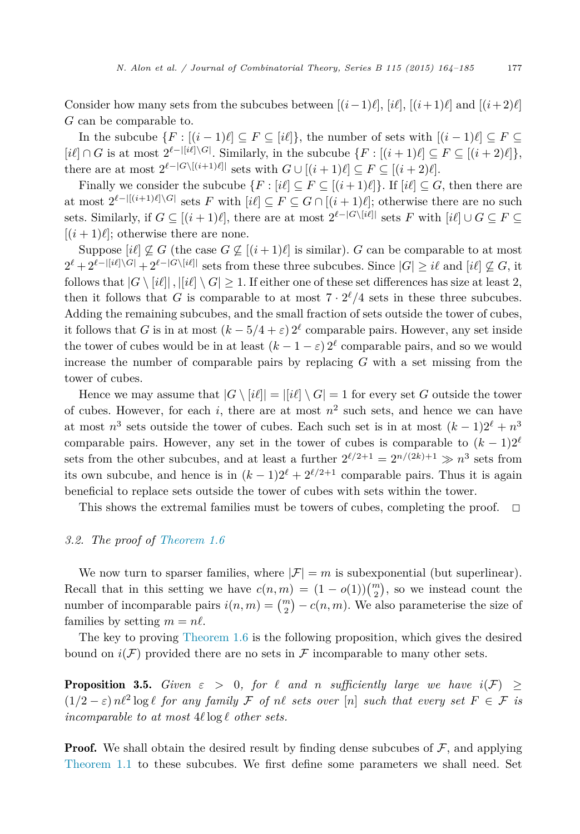<span id="page-13-0"></span>Consider how many sets from the subcubes between  $[(i-1)\ell], [i\ell], [(i+1)\ell]$  and  $[(i+2)\ell]$ *G* can be comparable to.

In the subcube  $\{F : [(i-1)\ell] \subseteq F \subseteq [i\ell]\},\$  the number of sets with  $[(i-1)\ell] \subseteq F \subseteq$  $[i\ell] \cap G$  is at most  $2^{\ell-|[i\ell]\setminus G|}$ . Similarly, in the subcube  $\{F: [(i+1)\ell] \subseteq F \subseteq [(i+2)\ell]\},\$ there are at most  $2^{\ell-|G\setminus[(i+1)\ell]|}$  sets with  $G\cup[(i+1)\ell]\subseteq F\subseteq[(i+2)\ell].$ 

Finally we consider the subcube  $\{F : [\mathcal{U}] \subseteq F \subseteq [(\mathcal{i}+1)\mathcal{E}]\}$ . If  $[\mathcal{U}] \subseteq G$ , then there are at most  $2^{\ell-|[(i+1)\ell]\setminus G|}$  sets *F* with  $[i\ell] \subseteq F \subseteq G \cap [(i+1)\ell];$  otherwise there are no such sets. Similarly, if  $G \subseteq [(i + 1)\ell]$ , there are at most  $2^{\ell - |G \setminus [i\ell]|}$  sets  $F$  with  $[i\ell] \cup G \subseteq F \subseteq$  $[(i+1)\ell]$ ; otherwise there are none.

Suppose  $[i\ell] \nsubseteq G$  (the case  $G \nsubseteq [(i+1)\ell]$  is similar). *G* can be comparable to at most  $2^{\ell} + 2^{\ell - |i\ell| \setminus G} + 2^{\ell - |G \setminus |i\ell|}$  sets from these three subcubes. Since  $|G| \geq i\ell$  and  $[i\ell] \not\subseteq G$ , it follows that  $|G \setminus [i\ell]|$ ,  $|[i\ell] \setminus G| \ge 1$ . If either one of these set differences has size at least 2, then it follows that *G* is comparable to at most  $7 \cdot 2^{\ell}/4$  sets in these three subcubes. Adding the remaining subcubes, and the small fraction of sets outside the tower of cubes, it follows that *G* is in at most  $(k-5/4 + \varepsilon) 2^{\ell}$  comparable pairs. However, any set inside the tower of cubes would be in at least  $(k - 1 - \varepsilon) 2^{\ell}$  comparable pairs, and so we would increase the number of comparable pairs by replacing *G* with a set missing from the tower of cubes.

Hence we may assume that  $|G \setminus [i\ell]| = |[i\ell] \setminus G| = 1$  for every set *G* outside the tower of cubes. However, for each  $i$ , there are at most  $n^2$  such sets, and hence we can have at most  $n^3$  sets outside the tower of cubes. Each such set is in at most  $(k-1)2^{\ell} + n^3$ comparable pairs. However, any set in the tower of cubes is comparable to  $(k-1)2^{\ell}$ sets from the other subcubes, and at least a further  $2^{\ell/2+1} = 2^{n/(2k)+1} \gg n^3$  sets from its own subcube, and hence is in  $(k-1)2^{\ell} + 2^{\ell/2+1}$  comparable pairs. Thus it is again beneficial to replace sets outside the tower of cubes with sets within the tower.

This shows the extremal families must be towers of cubes, completing the proof.  $\Box$ 

# *3.2. The proof of [Theorem 1.6](#page-3-0)*

We now turn to sparser families, where  $|\mathcal{F}| = m$  is subexponential (but superlinear). Recall that in this setting we have  $c(n, m) = (1 - o(1))\binom{m}{2}$ , so we instead count the number of incomparable pairs  $i(n, m) = \binom{m}{2} - c(n, m)$ . We also parameterise the size of families by setting  $m = n\ell$ .

The key to proving [Theorem 1.6](#page-3-0) is the following proposition, which gives the desired bound on  $i(F)$  provided there are no sets in F incomparable to many other sets.

**Proposition 3.5.** Given  $\varepsilon > 0$ , for  $\ell$  and *n* sufficiently large we have  $i(F) \geq$  $(1/2 - \varepsilon) n\ell^2 \log \ell$  for any family  $\mathcal F$  of  $n\ell$  sets over  $[n]$  such that every set  $F \in \mathcal F$  is *incomparable to at most*  $4\ell \log \ell$  *other sets.* 

**Proof.** We shall obtain the desired result by finding dense subcubes of  $\mathcal{F}$ , and applying [Theorem 1.1](#page-2-0) to these subcubes. We first define some parameters we shall need. Set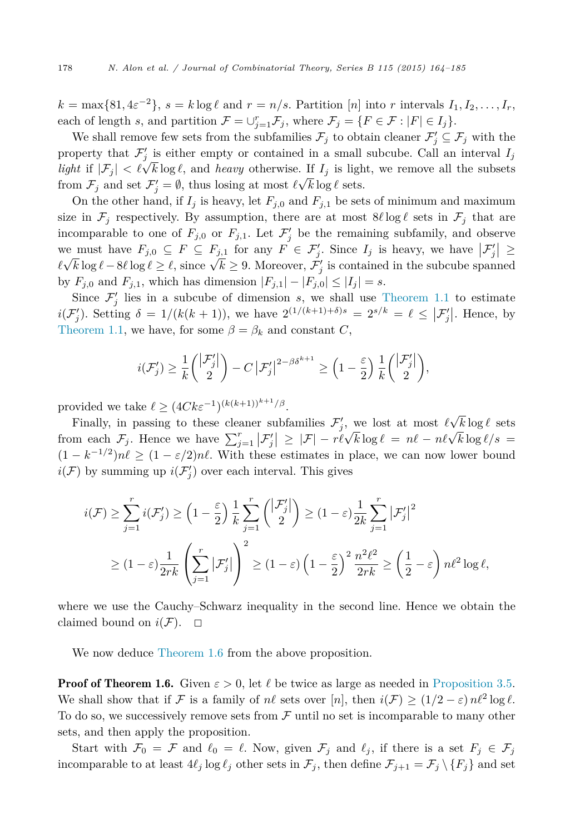$k = \max\{81, 4\varepsilon^{-2}\}, s = k \log \ell \text{ and } r = n/s.$  Partition [*n*] into *r* intervals  $I_1, I_2, \ldots, I_r$ , each of length *s*, and partition  $\mathcal{F} = \bigcup_{j=1}^r \mathcal{F}_j$ , where  $\mathcal{F}_j = \{F \in \mathcal{F} : |F| \in I_j\}$ .

We shall remove few sets from the subfamilies  $\mathcal{F}_j$  to obtain cleaner  $\mathcal{F}'_j \subseteq \mathcal{F}_j$  with the property that  $\mathcal{F}'_j$  is either empty or contained in a small subcube. Call an interval  $I_j$ *light* if  $|\mathcal{F}_j| < \ell \sqrt{k} \log \ell$ , and *heavy* otherwise. If  $I_j$  is light, we remove all the subsets from  $\mathcal{F}_j$  and set  $\mathcal{F}'_j = \emptyset$ , thus losing at most  $\ell \sqrt{k} \log \ell$  sets.

On the other hand, if  $I_j$  is heavy, let  $F_{j,0}$  and  $F_{j,1}$  be sets of minimum and maximum size in  $\mathcal{F}_j$  respectively. By assumption, there are at most  $8\ell \log \ell$  sets in  $\mathcal{F}_j$  that are incomparable to one of  $F_{j,0}$  or  $F_{j,1}$ . Let  $\mathcal{F}'_j$  be the remaining subfamily, and observe we must have  $F_{j,0} \subseteq F \subseteq F_{j,1}$  for any  $F \in \mathcal{F}'_j$ . Since  $I_j$  is heavy, we have  $|\mathcal{F}'_j| \ge$  $\ell \sqrt{k} \log \ell - 8\ell \log \ell \geq \ell$ , since  $\sqrt{k} \geq 9$ . Moreover,  $\mathcal{F}'_j$  is contained in the subcube spanned by  $F_{i,0}$  and  $F_{i,1}$ , which has dimension  $|F_{j,1}| - |F_{j,0}| \leq |I_j| = s$ .

Since  $\mathcal{F}'_j$  lies in a subcube of dimension *s*, we shall use [Theorem 1.1](#page-2-0) to estimate  $i(\mathcal{F}'_j)$ . Setting  $\delta = 1/(k(k+1)),$  we have  $2^{(1/(k+1)+\delta)s} = 2^{s/k} = \ell \leq |\mathcal{F}'_j|$ . Hence, by [Theorem 1.1,](#page-2-0) we have, for some  $\beta = \beta_k$  and constant *C*,

$$
i(\mathcal{F}'_j) \geq \frac{1}{k} \binom{|\mathcal{F}'_j|}{2} - C |\mathcal{F}'_j|^{2-\beta \delta^{k+1}} \geq \left(1 - \frac{\varepsilon}{2}\right) \frac{1}{k} \binom{|\mathcal{F}'_j|}{2},
$$

provided we take  $\ell \geq (4Ck\varepsilon^{-1})^{(k(k+1))^{k+1}/\beta}$ .

Finally, in passing to these cleaner subfamilies  $\mathcal{F}'_j$ , we lost at most  $\ell \sqrt{k} \log \ell$  sets from each  $\mathcal{F}_j$ . Hence we have  $\sum_{j=1}^r |\mathcal{F}'_j| \geq |\mathcal{F}| - r\ell \sqrt{k} \log \ell = n\ell - n\ell \sqrt{k} \log \ell / s =$  $(1 - k^{-1/2})n\ell \geq (1 - \varepsilon/2)n\ell$ . With these estimates in place, we can now lower bound  $i(\mathcal{F})$  by summing up  $i(\mathcal{F}'_j)$  over each interval. This gives

$$
i(\mathcal{F}) \geq \sum_{j=1}^{r} i(\mathcal{F}'_j) \geq \left(1 - \frac{\varepsilon}{2}\right) \frac{1}{k} \sum_{j=1}^{r} {\binom{|\mathcal{F}'_j|}{2}} \geq (1 - \varepsilon) \frac{1}{2k} \sum_{j=1}^{r} {|\mathcal{F}'_j|}^2
$$
  

$$
\geq (1 - \varepsilon) \frac{1}{2rk} \left(\sum_{j=1}^{r} |\mathcal{F}'_j|\right)^2 \geq (1 - \varepsilon) \left(1 - \frac{\varepsilon}{2}\right)^2 \frac{n^2 \ell^2}{2rk} \geq \left(\frac{1}{2} - \varepsilon\right) n \ell^2 \log \ell,
$$

where we use the Cauchy–Schwarz inequality in the second line. Hence we obtain the claimed bound on  $i(F)$ .  $\Box$ 

We now deduce [Theorem 1.6](#page-3-0) from the above proposition.

**Proof of Theorem 1.6.** Given  $\varepsilon > 0$ , let  $\ell$  be twice as large as needed in [Proposition 3.5.](#page-13-0) We shall show that if  $\mathcal F$  is a family of  $n\ell$  sets over  $[n]$ , then  $i(\mathcal F) \ge (1/2 - \varepsilon) n\ell^2 \log \ell$ . To do so, we successively remove sets from  $\mathcal F$  until no set is incomparable to many other sets, and then apply the proposition.

Start with  $\mathcal{F}_0 = \mathcal{F}$  and  $\ell_0 = \ell$ . Now, given  $\mathcal{F}_j$  and  $\ell_j$ , if there is a set  $F_j \in \mathcal{F}_j$ incomparable to at least  $4\ell_j \log \ell_j$  other sets in  $\mathcal{F}_j$ , then define  $\mathcal{F}_{j+1} = \mathcal{F}_j \setminus \{F_j\}$  and set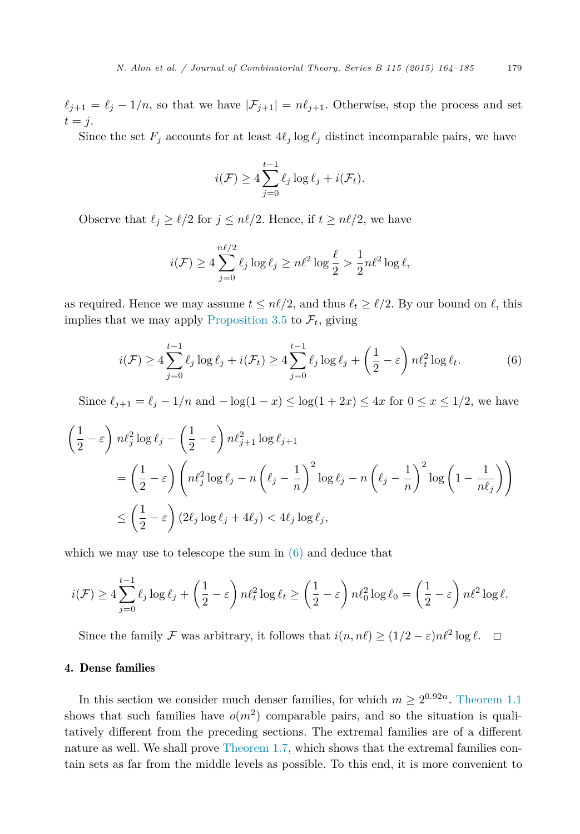<span id="page-15-0"></span> $\ell_{j+1} = \ell_j - 1/n$ , so that we have  $|\mathcal{F}_{j+1}| = n\ell_{j+1}$ . Otherwise, stop the process and set  $t = j$ .

Since the set  $F_j$  accounts for at least  $4\ell_j \log \ell_j$  distinct incomparable pairs, we have

$$
i(\mathcal{F}) \ge 4 \sum_{j=0}^{t-1} \ell_j \log \ell_j + i(\mathcal{F}_t).
$$

Observe that  $\ell_j \geq \ell/2$  for  $j \leq n\ell/2$ . Hence, if  $t \geq n\ell/2$ , we have

$$
i(\mathcal{F}) \ge 4 \sum_{j=0}^{n\ell/2} \ell_j \log \ell_j \ge n\ell^2 \log \frac{\ell}{2} > \frac{1}{2}n\ell^2 \log \ell,
$$

as required. Hence we may assume  $t \leq n\ell/2$ , and thus  $\ell_t \geq \ell/2$ . By our bound on  $\ell$ , this implies that we may apply [Proposition 3.5](#page-13-0) to  $\mathcal{F}_t$ , giving

$$
i(\mathcal{F}) \ge 4 \sum_{j=0}^{t-1} \ell_j \log \ell_j + i(\mathcal{F}_t) \ge 4 \sum_{j=0}^{t-1} \ell_j \log \ell_j + \left(\frac{1}{2} - \varepsilon\right) n \ell_t^2 \log \ell_t.
$$
 (6)

Since  $\ell_{j+1} = \ell_j - 1/n$  and  $-\log(1-x) \le \log(1+2x) \le 4x$  for  $0 \le x \le 1/2$ , we have

$$
\left(\frac{1}{2} - \varepsilon\right) n\ell_j^2 \log \ell_j - \left(\frac{1}{2} - \varepsilon\right) n\ell_{j+1}^2 \log \ell_{j+1}
$$
\n
$$
= \left(\frac{1}{2} - \varepsilon\right) \left(n\ell_j^2 \log \ell_j - n\left(\ell_j - \frac{1}{n}\right)^2 \log \ell_j - n\left(\ell_j - \frac{1}{n}\right)^2 \log \left(1 - \frac{1}{n\ell_j}\right)\right)
$$
\n
$$
\leq \left(\frac{1}{2} - \varepsilon\right) (2\ell_j \log \ell_j + 4\ell_j) < 4\ell_j \log \ell_j,
$$

which we may use to telescope the sum in (6) and deduce that

$$
i(\mathcal{F}) \ge 4 \sum_{j=0}^{t-1} \ell_j \log \ell_j + \left(\frac{1}{2} - \varepsilon\right) n \ell_t^2 \log \ell_t \ge \left(\frac{1}{2} - \varepsilon\right) n \ell_0^2 \log \ell_0 = \left(\frac{1}{2} - \varepsilon\right) n \ell^2 \log \ell.
$$

Since the family  $\mathcal F$  was arbitrary, it follows that  $i(n, n\ell) \ge (1/2 - \varepsilon)n\ell^2 \log \ell$  $\Box$ 

# 4. Dense families

In this section we consider much denser families, for which  $m \geq 2^{0.92n}$ . [Theorem 1.1](#page-2-0) shows that such families have  $o(m^2)$  comparable pairs, and so the situation is qualitatively different from the preceding sections. The extremal families are of a different nature as well. We shall prove [Theorem 1.7,](#page-3-0) which shows that the extremal families contain sets as far from the middle levels as possible. To this end, it is more convenient to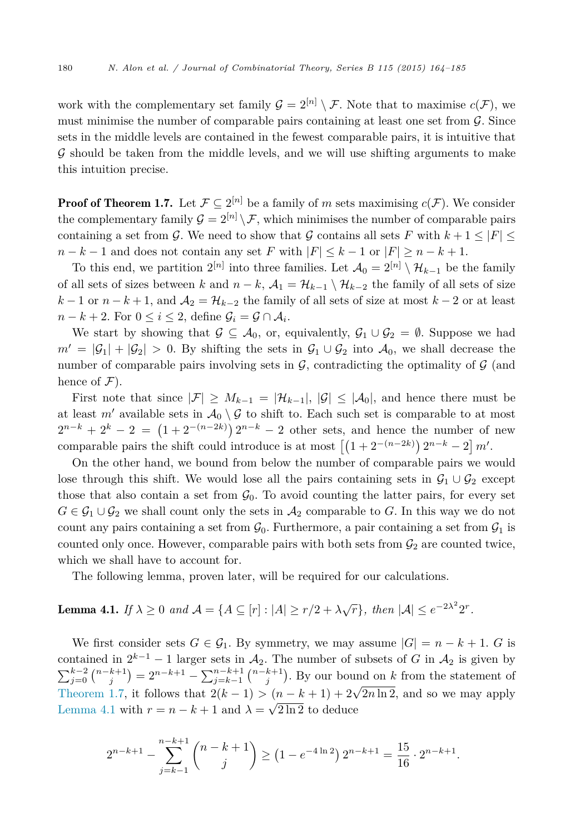<span id="page-16-0"></span>work with the complementary set family  $\mathcal{G} = 2^{[n]} \setminus \mathcal{F}$ . Note that to maximise  $c(\mathcal{F})$ , we must minimise the number of comparable pairs containing at least one set from  $\mathcal G$ . Since sets in the middle levels are contained in the fewest comparable pairs, it is intuitive that G should be taken from the middle levels, and we will use shifting arguments to make this intuition precise.

**Proof of Theorem 1.7.** Let  $\mathcal{F} \subset 2^{[n]}$  be a family of *m* sets maximising  $c(\mathcal{F})$ . We consider the complementary family  $\mathcal{G} = 2^{[n]} \setminus \mathcal{F}$ , which minimises the number of comparable pairs containing a set from G. We need to show that G contains all sets F with  $k+1 \leq |F| \leq$  $n - k - 1$  and does not contain any set *F* with  $|F| \leq k - 1$  or  $|F| \geq n - k + 1$ .

To this end, we partition  $2^{[n]}$  into three families. Let  $\mathcal{A}_0 = 2^{[n]} \setminus \mathcal{H}_{k-1}$  be the family of all sets of sizes between *k* and  $n - k$ ,  $A_1 = H_{k-1} \setminus H_{k-2}$  the family of all sets of size *k* − 1 or *n* − *k* + 1, and  $A_2 = H_{k-2}$  the family of all sets of size at most  $k-2$  or at least *n* − *k* + 2. For  $0 \le i \le 2$ , define  $\mathcal{G}_i = \mathcal{G} \cap \mathcal{A}_i$ .

We start by showing that  $\mathcal{G} \subseteq \mathcal{A}_0$ , or, equivalently,  $\mathcal{G}_1 \cup \mathcal{G}_2 = \emptyset$ . Suppose we had  $m' = |\mathcal{G}_1| + |\mathcal{G}_2| > 0$ . By shifting the sets in  $\mathcal{G}_1 \cup \mathcal{G}_2$  into  $\mathcal{A}_0$ , we shall decrease the number of comparable pairs involving sets in  $\mathcal G$ , contradicting the optimality of  $\mathcal G$  (and hence of  $\mathcal{F}$ ).

First note that since  $|\mathcal{F}| \geq M_{k-1} = |\mathcal{H}_{k-1}|, |\mathcal{G}| \leq |\mathcal{A}_0|$ , and hence there must be at least  $m'$  available sets in  $\mathcal{A}_0 \setminus \mathcal{G}$  to shift to. Each such set is comparable to at most  $2^{n-k} + 2^k - 2 = (1 + 2^{-(n-2k)}) 2^{n-k} - 2$  other sets, and hence the number of new comparable pairs the shift could introduce is at most  $\left[ \left(1 + 2^{-(n-2k)}\right) 2^{n-k} - 2 \right] m'$ .

On the other hand, we bound from below the number of comparable pairs we would lose through this shift. We would lose all the pairs containing sets in  $\mathcal{G}_1 \cup \mathcal{G}_2$  except those that also contain a set from  $\mathcal{G}_0$ . To avoid counting the latter pairs, for every set  $G \in \mathcal{G}_1 \cup \mathcal{G}_2$  we shall count only the sets in  $\mathcal{A}_2$  comparable to *G*. In this way we do not count any pairs containing a set from  $\mathcal{G}_0$ . Furthermore, a pair containing a set from  $\mathcal{G}_1$  is counted only once. However, comparable pairs with both sets from  $\mathcal{G}_2$  are counted twice, which we shall have to account for.

The following lemma, proven later, will be required for our calculations.

# Lemma 4.1. *If*  $\lambda \geq 0$  *and*  $\mathcal{A} = \{A \subseteq [r] : |A| \geq r/2 + \lambda \sqrt{r}\}$ , *then*  $|\mathcal{A}| \leq e^{-2\lambda^2}2^r$ .

We first consider sets  $G \in \mathcal{G}_1$ . By symmetry, we may assume  $|G| = n - k + 1$ . G is contained in  $2^{k-1} - 1$  larger sets in  $\mathcal{A}_2$ . The number of subsets of *G* in  $\mathcal{A}_2$  is given by  $\sum_{j=0}^{k-2} {n-k+1 \choose j} = 2^{n-k+1} - \sum_{j=k-1}^{n-k+1} {n-k+1 \choose j}$ . By our bound on *k* from the statement of [Theorem 1.7,](#page-3-0) it follows that  $2(k-1) > (n-k+1) + 2\sqrt{2n \ln 2}$ , and so we may apply Lemma 4.1 with  $r = n - k + 1$  and  $\lambda = \sqrt{2 \ln 2}$  to deduce

$$
2^{n-k+1} - \sum_{j=k-1}^{n-k+1} \binom{n-k+1}{j} \ge (1 - e^{-4\ln 2}) 2^{n-k+1} = \frac{15}{16} \cdot 2^{n-k+1}.
$$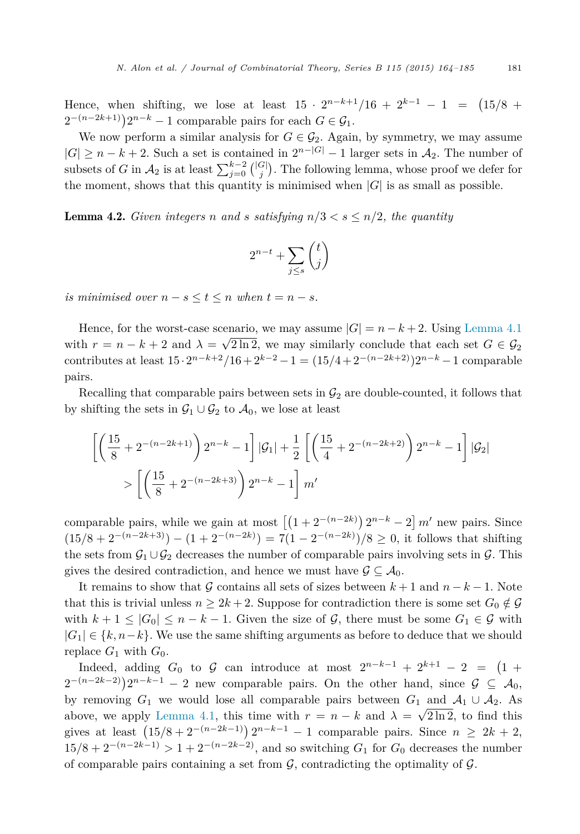Hence, when shifting, we lose at least  $15 \cdot 2^{n-k+1}/16 + 2^{k-1} - 1 = (15/8 + 12)$  $2^{-(n-2k+1)}$  $2^{n-k} - 1$  comparable pairs for each  $G \in \mathcal{G}_1$ .

We now perform a similar analysis for  $G \in \mathcal{G}_2$ . Again, by symmetry, we may assume  $|G| \geq n - k + 2$ . Such a set is contained in  $2^{n-|G|} - 1$  larger sets in  $\mathcal{A}_2$ . The number of subsets of *G* in  $A_2$  is at least  $\sum_{j=0}^{k-2} {\binom{|G|}{j}}$ . The following lemma, whose proof we defer for the moment, shows that this quantity is minimised when  $|G|$  is as small as possible.

**Lemma 4.2.** Given integers *n* and *s* satisfying  $n/3 < s \leq n/2$ , the quantity

$$
2^{n-t} + \sum_{j \le s} \binom{t}{j}
$$

*is minimised over*  $n - s \le t \le n$  *when*  $t = n - s$ *.* 

Hence, for the worst-case scenario, we may assume  $|G| = n - k + 2$ . Using [Lemma 4.1](#page-16-0) with  $r = n - k + 2$  and  $\lambda = \sqrt{2 \ln 2}$ , we may similarly conclude that each set  $G \in \mathcal{G}_2$ contributes at least  $15 \cdot 2^{n-k+2}/16 + 2^{k-2} - 1 = (15/4 + 2^{-(n-2k+2)})2^{n-k} - 1$  comparable pairs.

Recalling that comparable pairs between sets in  $\mathcal{G}_2$  are double-counted, it follows that by shifting the sets in  $\mathcal{G}_1 \cup \mathcal{G}_2$  to  $\mathcal{A}_0$ , we lose at least

$$
\left[ \left( \frac{15}{8} + 2^{-(n-2k+1)} \right) 2^{n-k} - 1 \right] |\mathcal{G}_1| + \frac{1}{2} \left[ \left( \frac{15}{4} + 2^{-(n-2k+2)} \right) 2^{n-k} - 1 \right] |\mathcal{G}_2|
$$
  
> 
$$
\left[ \left( \frac{15}{8} + 2^{-(n-2k+3)} \right) 2^{n-k} - 1 \right] m'
$$

comparable pairs, while we gain at most  $[(1+2^{-(n-2k)}) 2^{n-k}-2]$  m' new pairs. Since  $(15/8 + 2^{-(n-2k+3)}) - (1 + 2^{-(n-2k)}) = 7(1 - 2^{-(n-2k)})/8 \ge 0$ , it follows that shifting the sets from  $\mathcal{G}_1 \cup \mathcal{G}_2$  decreases the number of comparable pairs involving sets in  $\mathcal{G}$ . This gives the desired contradiction, and hence we must have  $\mathcal{G} \subseteq \mathcal{A}_0$ .

It remains to show that G contains all sets of sizes between  $k + 1$  and  $n - k - 1$ . Note that this is trivial unless  $n \geq 2k + 2$ . Suppose for contradiction there is some set  $G_0 \notin \mathcal{G}$ with  $k + 1 \leq |G_0| \leq n - k - 1$ . Given the size of  $\mathcal{G}$ , there must be some  $G_1 \in \mathcal{G}$  with  $|G_1| \in \{k, n-k\}$ . We use the same shifting arguments as before to deduce that we should replace  $G_1$  with  $G_0$ .

Indeed, adding  $G_0$  to  $\mathcal G$  can introduce at most  $2^{n-k-1} + 2^{k+1} - 2 = (1 +$  $2^{-(n-2k-2)}$  $2^{n-k-1}$  – 2 new comparable pairs. On the other hand, since  $\mathcal{G} \subseteq \mathcal{A}_0$ , by removing  $G_1$  we would lose all comparable pairs between  $G_1$  and  $A_1 \cup A_2$ . As above, we apply [Lemma 4.1,](#page-16-0) this time with  $r = n - k$  and  $\lambda = \sqrt{2 \ln 2}$ , to find this gives at least  $(15/8 + 2^{-(n-2k-1)}) 2^{n-k-1} - 1$  comparable pairs. Since  $n \geq 2k + 2$ ,  $15/8 + 2^{-(n-2k-1)} > 1 + 2^{-(n-2k-2)}$ , and so switching  $G_1$  for  $G_0$  decreases the number of comparable pairs containing a set from  $\mathcal{G}$ , contradicting the optimality of  $\mathcal{G}$ .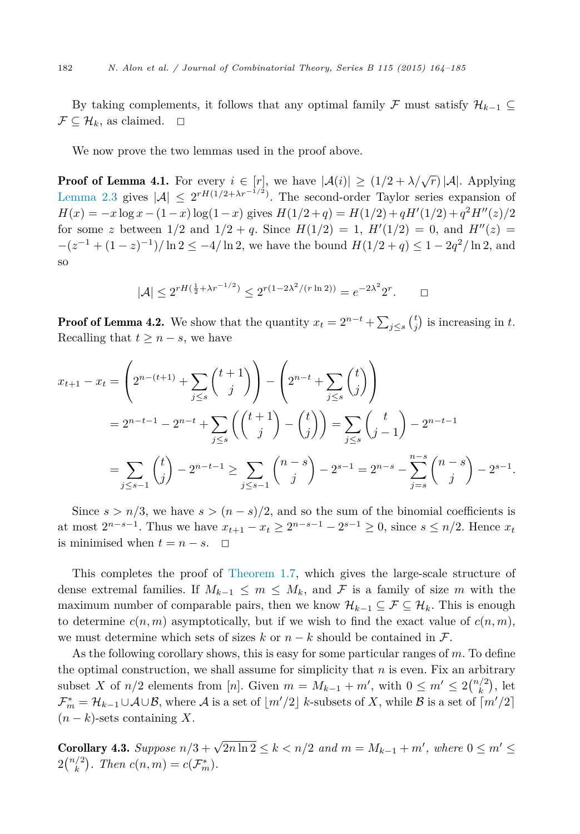<span id="page-18-0"></span>By taking complements, it follows that any optimal family  $\mathcal F$  must satisfy  $\mathcal H_{k-1} \subseteq$  $\mathcal{F} \subseteq \mathcal{H}_k$ , as claimed.  $\Box$ 

We now prove the two lemmas used in the proof above.

**Proof of Lemma 4.1.** For every  $i \in [r]$ , we have  $|\mathcal{A}(i)| \geq (1/2 + \lambda/\sqrt{r}) |\mathcal{A}|$ . Applying [Lemma 2.3](#page-6-0) gives  $|\mathcal{A}| \leq 2^{rH(1/2 + \lambda r^{-1/2})}$ . The second-order Taylor series expansion of  $H(x) = -x \log x - (1-x) \log(1-x)$  gives  $H(1/2+q) = H(1/2) + qH'(1/2) + q^2H''(z)/2$ for some *z* between  $1/2$  and  $1/2 + q$ . Since  $H(1/2) = 1$ ,  $H'(1/2) = 0$ , and  $H''(z) = 0$  $-(z^{-1} + (1 - z)^{-1})/\ln 2 \leq -4/\ln 2$ , we have the bound  $H(1/2 + q) \leq 1 - 2q^2/\ln 2$ , and so

$$
|\mathcal{A}| \le 2^{rH(\frac{1}{2} + \lambda r^{-1/2})} \le 2^{r(1 - 2\lambda^2/(r \ln 2))} = e^{-2\lambda^2} 2^r. \quad \Box
$$

**Proof of Lemma 4.2.** We show that the quantity  $x_t = 2^{n-t} + \sum_{j \leq s} {t \choose j}$  is increasing in *t*. Recalling that  $t \geq n - s$ , we have

$$
x_{t+1} - x_t = \left(2^{n-(t+1)} + \sum_{j \le s} {t+1 \choose j} \right) - \left(2^{n-t} + \sum_{j \le s} {t \choose j} \right)
$$
  
=  $2^{n-t-1} - 2^{n-t} + \sum_{j \le s} \left( {t+1 \choose j} - {t \choose j} \right) = \sum_{j \le s} {t \choose j-1} - 2^{n-t-1}$   
=  $\sum_{j \le s-1} {t \choose j} - 2^{n-t-1} \ge \sum_{j \le s-1} {n-s \choose j} - 2^{s-1} = 2^{n-s} - \sum_{j=s}^{n-s} {n-s \choose j} - 2^{s-1}.$ 

Since  $s > n/3$ , we have  $s > (n - s)/2$ , and so the sum of the binomial coefficients is at most  $2^{n-s-1}$ . Thus we have  $x_{t+1} - x_t \geq 2^{n-s-1} - 2^{s-1} \geq 0$ , since  $s \leq n/2$ . Hence  $x_t$ is minimised when  $t = n - s$ .  $\Box$ 

This completes the proof of [Theorem 1.7,](#page-3-0) which gives the large-scale structure of dense extremal families. If  $M_{k-1} \leq m \leq M_k$ , and F is a family of size m with the maximum number of comparable pairs, then we know  $\mathcal{H}_{k-1} \subseteq \mathcal{F} \subseteq \mathcal{H}_k$ . This is enough to determine  $c(n, m)$  asymptotically, but if we wish to find the exact value of  $c(n, m)$ , we must determine which sets of sizes  $k$  or  $n - k$  should be contained in  $\mathcal{F}$ .

As the following corollary shows, this is easy for some particular ranges of *m*. To define the optimal construction, we shall assume for simplicity that *n* is even. Fix an arbitrary subset *X* of  $n/2$  elements from [*n*]. Given  $m = M_{k-1} + m'$ , with  $0 \leq m' \leq 2{n/2 \choose k}$ , let  $\mathcal{F}_{m}^{*} = \mathcal{H}_{k-1} \cup \mathcal{A} \cup \mathcal{B}$ , where  $\mathcal{A}$  is a set of  $\lfloor m'/2 \rfloor$  *k*-subsets of *X*, while  $\mathcal{B}$  is a set of  $\lceil m'/2 \rceil$  $(n - k)$ -sets containing X.

**Corollary 4.3.** Suppose  $n/3 + \sqrt{2n \ln 2} \le k < n/2$  and  $m = M_{k-1} + m'$ , where  $0 \le m' \le$  $2\binom{n/2}{k}$ *. Then*  $c(n,m) = c(\mathcal{F}_m^*)$ *.*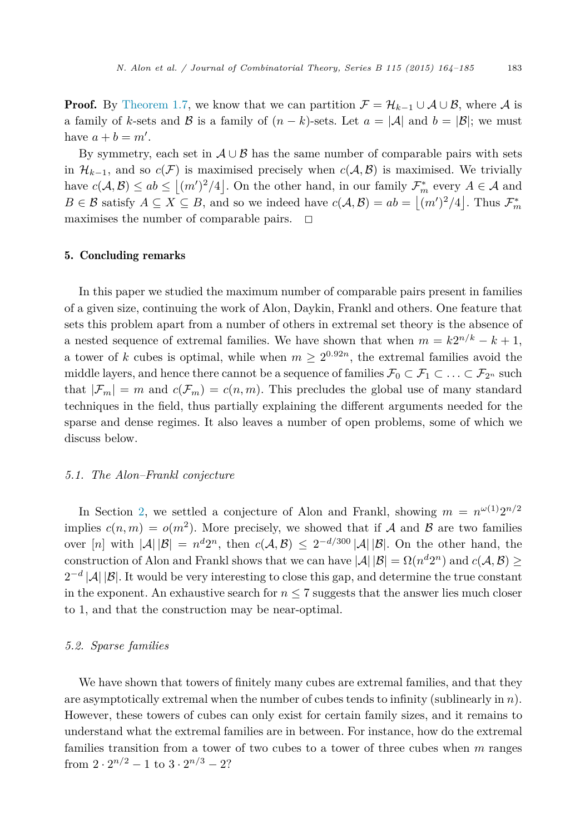<span id="page-19-0"></span>**Proof.** By [Theorem 1.7,](#page-3-0) we know that we can partition  $\mathcal{F} = \mathcal{H}_{k-1} \cup \mathcal{A} \cup \mathcal{B}$ , where  $\mathcal{A}$  is a family of *k*-sets and B is a family of  $(n - k)$ -sets. Let  $a = |\mathcal{A}|$  and  $b = |\mathcal{B}|$ ; we must have  $a + b = m'$ .

By symmetry, each set in  $\mathcal{A} \cup \mathcal{B}$  has the same number of comparable pairs with sets in  $\mathcal{H}_{k-1}$ , and so  $c(\mathcal{F})$  is maximised precisely when  $c(\mathcal{A}, \mathcal{B})$  is maximised. We trivially have  $c(A, B) \le ab \le \lfloor (m')^2/4 \rfloor$ . On the other hand, in our family  $\mathcal{F}_m^*$  every  $A \in \mathcal{A}$  and  $B \in \mathcal{B}$  satisfy  $A \subseteq X \subseteq B$ , and so we indeed have  $c(\mathcal{A}, \mathcal{B}) = ab = \lfloor (m')^2/4 \rfloor$ . Thus  $\mathcal{F}_m^*$ maximises the number of comparable pairs.  $\Box$ 

## 5. Concluding remarks

In this paper we studied the maximum number of comparable pairs present in families of a given size, continuing the work of Alon, Daykin, Frankl and others. One feature that sets this problem apart from a number of others in extremal set theory is the absence of a nested sequence of extremal families. We have shown that when  $m = k2^{n/k} - k + 1$ , a tower of *k* cubes is optimal, while when  $m \geq 2^{0.92n}$ , the extremal families avoid the middle layers, and hence there cannot be a sequence of families  $\mathcal{F}_0 \subset \mathcal{F}_1 \subset \ldots \subset \mathcal{F}_{2^n}$  such that  $|\mathcal{F}_m| = m$  and  $c(\mathcal{F}_m) = c(n,m)$ . This precludes the global use of many standard techniques in the field, thus partially explaining the different arguments needed for the sparse and dense regimes. It also leaves a number of open problems, some of which we discuss below.

## *5.1. The Alon–Frankl conjecture*

In Section [2,](#page-4-0) we settled a conjecture of Alon and Frankl, showing  $m = n^{\omega(1)}2^{n/2}$ implies  $c(n,m) = o(m^2)$ . More precisely, we showed that if A and B are two families over [*n*] with  $|\mathcal{A}||\mathcal{B}| = n^d 2^n$ , then  $c(\mathcal{A}, \mathcal{B}) \leq 2^{-d/300} |\mathcal{A}||\mathcal{B}|$ . On the other hand, the construction of Alon and Frankl shows that we can have  $|\mathcal{A}| |\mathcal{B}| = \Omega(n^d 2^n)$  and  $c(\mathcal{A}, \mathcal{B}) \ge$ 2<sup>−*d*</sup> |A| |B|. It would be very interesting to close this gap, and determine the true constant in the exponent. An exhaustive search for  $n \leq 7$  suggests that the answer lies much closer to 1, and that the construction may be near-optimal.

## *5.2. Sparse families*

We have shown that towers of finitely many cubes are extremal families, and that they are asymptotically extremal when the number of cubes tends to infinity (sublinearly in *n*). However, these towers of cubes can only exist for certain family sizes, and it remains to understand what the extremal families are in between. For instance, how do the extremal families transition from a tower of two cubes to a tower of three cubes when *m* ranges from  $2 \cdot 2^{n/2} - 1$  to  $3 \cdot 2^{n/3} - 2$ ?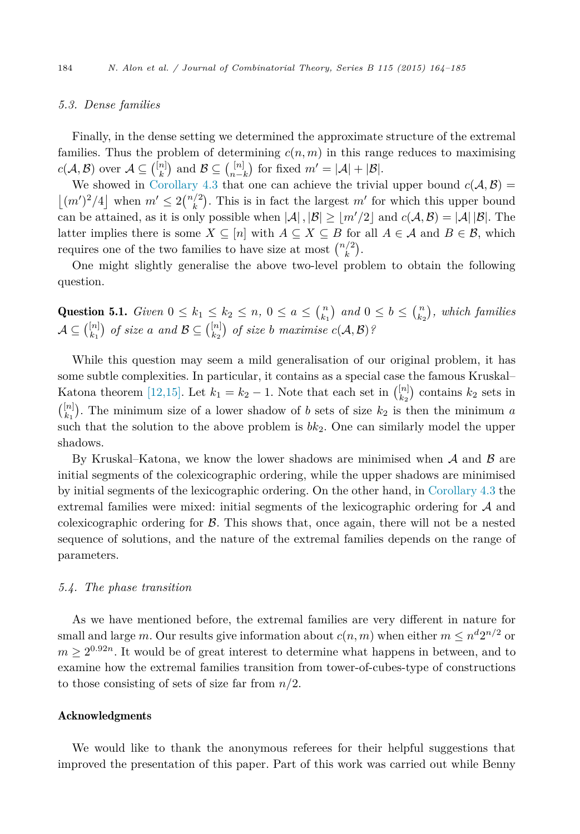# *5.3. Dense families*

Finally, in the dense setting we determined the approximate structure of the extremal families. Thus the problem of determining  $c(n, m)$  in this range reduces to maximising  $c(\mathcal{A}, \mathcal{B})$  over  $\mathcal{A} \subseteq {n \choose k}$  and  $\mathcal{B} \subseteq {n \choose n-k}$  for fixed  $m' = |\mathcal{A}| + |\mathcal{B}|$ .

We showed in [Corollary 4.3](#page-18-0) that one can achieve the trivial upper bound  $c(A, B) = \lfloor (m')^2/4 \rfloor$  when  $m' \leq 2\binom{n/2}{k}$ . This is in fact the largest m' for which this upper bound can be attained, as it is only possible when  $|\mathcal{A}|, |\mathcal{B}| \geq |m'/2|$  and  $c(\mathcal{A}, \mathcal{B}) = |\mathcal{A}| |\mathcal{B}|$ . The latter implies there is some  $X \subseteq [n]$  with  $A \subseteq X \subseteq B$  for all  $A \in \mathcal{A}$  and  $B \in \mathcal{B}$ , which requires one of the two families to have size at most  $\binom{n/2}{k}$ .

One might slightly generalise the above two-level problem to obtain the following question.

Question 5.1. *Given*  $0 \le k_1 \le k_2 \le n$ ,  $0 \le a \le {n \choose k_1}$  and  $0 \le b \le {n \choose k_2}$ , which families  $\mathcal{A} \subseteq \binom{[n]}{k_1}$  of size a and  $\mathcal{B} \subseteq \binom{[n]}{k_2}$  of size *b* maximise  $c(\mathcal{A}, \mathcal{B})$ ?

While this question may seem a mild generalisation of our original problem, it has some subtle complexities. In particular, it contains as a special case the famous Kruskal– Katona theorem [\[12,15\].](#page-21-0) Let  $k_1 = k_2 - 1$ . Note that each set in  $\binom{[n]}{k_2}$  contains  $k_2$  sets in  $\binom{[n]}{k_1}$ . The minimum size of a lower shadow of *b* sets of size  $k_2$  is then the minimum *a* such that the solution to the above problem is  $bk_2$ . One can similarly model the upper shadows.

By Kruskal–Katona, we know the lower shadows are minimised when  $A$  and  $B$  are initial segments of the colexicographic ordering, while the upper shadows are minimised by initial segments of the lexicographic ordering. On the other hand, in [Corollary 4.3](#page-18-0) the extremal families were mixed: initial segments of the lexicographic ordering for  $A$  and colexicographic ordering for  $\beta$ . This shows that, once again, there will not be a nested sequence of solutions, and the nature of the extremal families depends on the range of parameters.

# *5.4. The phase transition*

As we have mentioned before, the extremal families are very different in nature for small and large *m*. Our results give information about  $c(n, m)$  when either  $m \leq n^d 2^{n/2}$  or  $m > 2^{0.92n}$ . It would be of great interest to determine what happens in between, and to examine how the extremal families transition from tower-of-cubes-type of constructions to those consisting of sets of size far from *n/*2.

# Acknowledgments

We would like to thank the anonymous referees for their helpful suggestions that improved the presentation of this paper. Part of this work was carried out while Benny